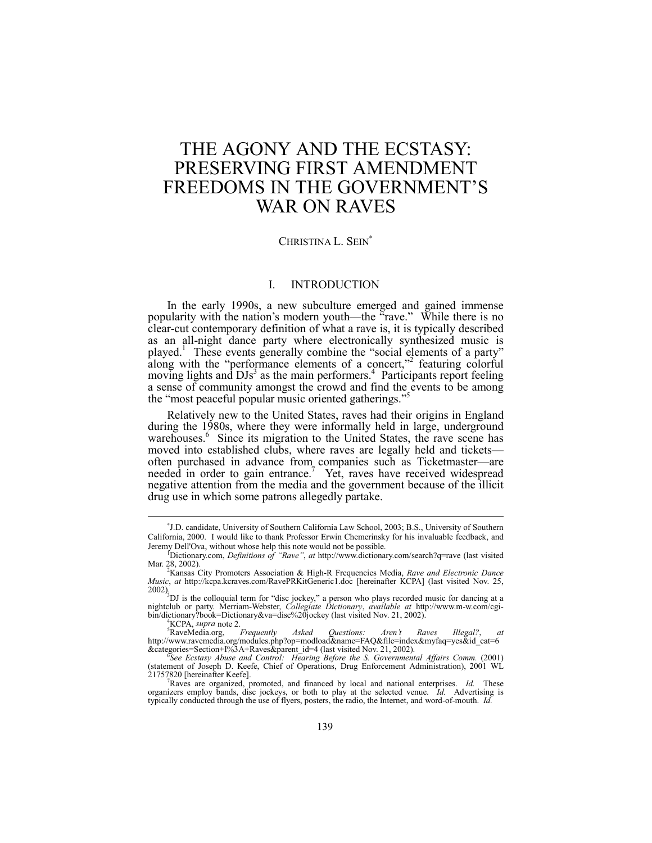# THE AGONY AND THE ECSTASY: PRESERVING FIRST AMENDMENT FREEDOMS IN THE GOVERNMENT'S WAR ON RAVES

# CHRISTINA L. SEIN<sup>\*</sup>

# I. INTRODUCTION

In the early 1990s, a new subculture emerged and gained immense popularity with the nation's modern youth—the  $\alpha$ <sup>x</sup>rave." While there is no clear-cut contemporary definition of what a rave is, it is typically described as an all-night dance party where electronically synthesized music is played.<sup>1</sup> These events generally combine the "social elements of a party" along with the "performance elements of a concert,"<sup>2</sup> featuring colorful moving lights and  $\text{DIs}^3$  as the main performers.<sup>4</sup> Participants report feeling a sense of community amongst the crowd and find the events to be among the "most peaceful popular music oriented gatherings."

Relatively new to the United States, raves had their origins in England during the 1980s, where they were informally held in large, underground warehouses.<sup>6</sup> Since its migration to the United States, the rave scene has moved into established clubs, where raves are legally held and ticketsoften purchased in advance from companies such as Ticketmaster-are needed in order to gain entrance.<sup>7</sup> Yet, raves have received widespread negative attention from the media and the government because of the illicit drug use in which some patrons allegedly partake.

l

<sup>∗</sup> J.D. candidate, University of Southern California Law School, 2003; B.S., University of Southern California, 2000. I would like to thank Professor Erwin Chemerinsky for his invaluable feedback, and Jeremy Dell'Ova, without whose help this note would not be possible.

<sup>&</sup>lt;sup>r</sup>Dictionary.com, *Definitions of "Rave"*, *at* http://www.dictionary.com/search?q=rave (last visited Mar. 28, 2002).

Kansas City Promoters Association & High-R Frequencies Media, *Rave and Electronic Dance Music*, *at* http://kcpa.kcraves.com/RavePRKitGeneric1.doc [hereinafter KCPA] (last visited Nov. 25, 2002).<br><sup>3</sup>DJ is the colloquial term for "disc jockey," a person who plays recorded music for dancing at a

nightclub or party. Merriam-Webster, *Collegiate Dictionary, available at* http://www.m-w.com/cgi-<br>bin/dictionary?book=Dictionary&va=disc%20jockey (last visited Nov. 21, 2002).<br><sup>4</sup> VCBA sunga pota?

<sup>&</sup>lt;sup>4</sup>KCPA, *supra* note 2.<br><sup>5</sup>RaveMedia.org,

RaveMedia.org, *Frequently Asked Questions: Arenít Raves Illegal?*, *at* http://www.ravemedia.org/modules.php?op=modload&name=FAQ&file=index&myfaq=yes&id\_cat=6

<sup>&</sup>amp;categories=Section+1%3A+Raves&parent\_id=4 (last visited Nov. 21, 2002).<br>
See Ecstasy Abuse and Control: Hearing Before the S. Governmental Affairs Comm. (2001)<br>
(statement of Joseph D. Keefe, Chief of Operations, Drug Enf  $21757820$  [hereinafter Keefe].

Raves are organized, promoted, and financed by local and national enterprises. *Id.* These organizers employ bands, disc jockeys, or both to play at the selected venue. *Id.* Advertising is typically conducted through the use of flyers, posters, the radio, the Internet, and word-of-mouth. *Id.*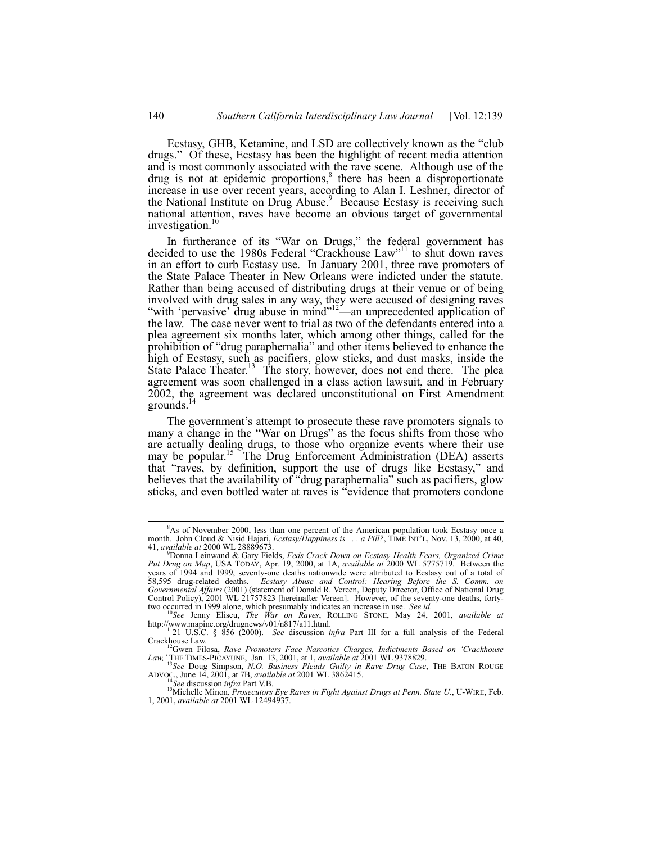Ecstasy, GHB, Ketamine, and LSD are collectively known as the "club" drugs." Of these, Ecstasy has been the highlight of recent media attention and is most commonly associated with the rave scene. Although use of the drug is not at epidemic proportions,<sup>8</sup> there has been a disproportionate increase in use over recent years, according to Alan I. Leshner, director of the National Institute on Drug Abuse.<sup>9</sup> Because Ecstasy is receiving such national attention, raves have become an obvious target of governmental investigation.<sup>10</sup>

In furtherance of its "War on Drugs," the federal government has decided to use the 1980s Federal "Crackhouse Law"<sup>11</sup> to shut down raves in an effort to curb Ecstasy use. In January 2001, three rave promoters of the State Palace Theater in New Orleans were indicted under the statute. Rather than being accused of distributing drugs at their venue or of being involved with drug sales in any way, they were accused of designing raves "with 'pervasive' drug abuse in mind $12$ <sup>-12</sup> - an unprecedented application of the law. The case never went to trial as two of the defendants entered into a plea agreement six months later, which among other things, called for the prohibition of "drug paraphernalia" and other items believed to enhance the high of Ecstasy, such as pacifiers, glow sticks, and dust masks, inside the State Palace Theater.<sup>13</sup> The story, however, does not end there. The plea agreement was soon challenged in a class action lawsuit, and in February 2002, the agreement was declared unconstitutional on First Amendment grounds.<sup>14</sup>

The government's attempt to prosecute these rave promoters signals to many a change in the "War on Drugs" as the focus shifts from those who are actually dealing drugs, to those who organize events where their use may be popular.<sup>15</sup> The Drug Enforcement Administration (DEA) asserts that "raves, by definition, support the use of drugs like Ecstasy," and believes that the availability of "drug paraphernalia" such as pacifiers, glow sticks, and even bottled water at raves is "evidence that promoters condone"

ADVOC., June 14, 2001, at 7B, *available at* 2001 WL 3862415.<br><sup>14</sup>See discussion *infra* Part V.B.<br><sup>15</sup>Michelle Minon, *Prosecutors Eye Raves in Fight Against Drugs at Penn. State U.*, U-WIRE, Feb.

<sup>&</sup>lt;sup>8</sup> As of November 2000, less than one percent of the American population took Ecstasy once a month. John Cloud & Nisid Hajari, *Ecstasy/Happiness is . . . a Pill?*, TIME INT<sup>7</sup>L, Nov. 13, 2000, at 40, 41, *available at* 2000 WL 28889673.

Donna Leinwand & Gary Fields, *Feds Crack Down on Ecstasy Health Fears, Organized Crime Put Drug on Map*, USA TODAY, Apr. 19, 2000, at 1A, *available at* 2000 WL 5775719. Between the years of 1994 and 1999, seventy-one deaths nationwide were attributed to Ecstasy out of a total of 58,595 drug-related deaths. *Ecstasy Abuse and Control: Hearing Before the S. Comm. on Governmental Affairs* (2001) (statement of Donald R. Vereen, Deputy Director, Office of National Drug Control Policy), 2001 WL 21757823 [hereinafter Vereen]. However, of the seventy-one deaths, fortytwo occurred in 1999 alone, which presumably indicates an increase in use. *See id.* <sup>10</sup>*See* Jenny Eliscu, *The War on Raves*, ROLLING STONE, May 24, 2001, *available at*  $^{10}$ *See* Jenny Eliscu, *The War on Raves*, ROL

http://www.mapin.org/drugnews/v01/n817/a11.html.<br><sup>112</sup>1 U.S.C. § 856 (2000). *See* discussion *infra* Part III for a full analysis of the Federal Crackhouse Law.

<sup>&</sup>lt;sup>12</sup>Gwen Filosa, *Rave Promoters Face Narcotics Charges, Indictments Based on 'Crackhouse Law,í* THE TIMES-PICAYUNE, Jan. 13, 2001, at 1, *available at* 2001 WL 9378829. <sup>13</sup>*See* Doug Simpson, *N.O. Business Pleads Guilty in Rave Drug Case*, THE BATON ROUGE

<sup>1, 2001,</sup> *available at* 2001 WL 12494937.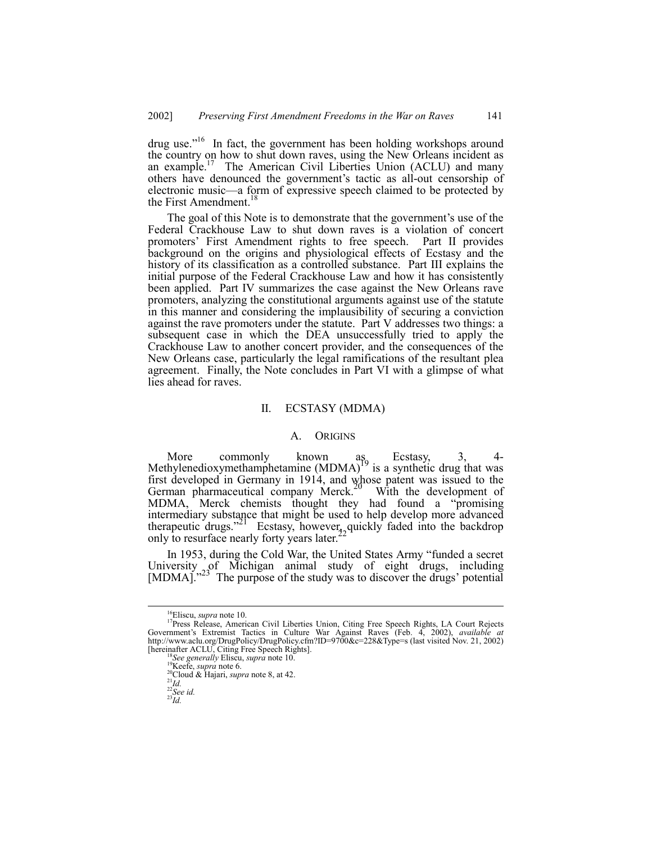$d\mu$  use.<sup> $16$ </sup> In fact, the government has been holding workshops around the country on how to shut down raves, using the New Orleans incident as an example.<sup>17</sup> The American Civil Liberties Union (ACLU) and many others have denounced the government's tactic as all-out censorship of electronic music—a form of expressive speech claimed to be protected by the First Amendment.<sup>18</sup>

The goal of this Note is to demonstrate that the government's use of the Federal Crackhouse Law to shut down raves is a violation of concert promotersí First Amendment rights to free speech. Part II provides background on the origins and physiological effects of Ecstasy and the history of its classification as a controlled substance. Part III explains the initial purpose of the Federal Crackhouse Law and how it has consistently been applied. Part IV summarizes the case against the New Orleans rave promoters, analyzing the constitutional arguments against use of the statute in this manner and considering the implausibility of securing a conviction against the rave promoters under the statute. Part V addresses two things: a subsequent case in which the DEA unsuccessfully tried to apply the Crackhouse Law to another concert provider, and the consequences of the New Orleans case, particularly the legal ramifications of the resultant plea agreement. Finally, the Note concludes in Part VI with a glimpse of what lies ahead for raves.

# II. ECSTASY (MDMA)

#### A. ORIGINS

More commonly known as Ecstasy, 3, 4-<br>Methylenedioxymethamphetamine (MDMA)<sup>19</sup> is a synthetic drug that was first developed in Germany in 1914, and whose patent was issued to the German pharmaceutical company Merck.<sup>20</sup> With the development of MDMA, Merck chemists thought they had found a "promising" intermediary substance that might be used to help develop more advanced therapeutic drugs.<sup>21</sup> Ecstasy, however, quickly faded into the backdrop only to resurface nearly forty years later.

In 1953, during the Cold War, the United States Army "funded a secret University  $_{2}$  of Michigan animal study of eight drugs, including [MDMA].<sup>33</sup> The purpose of the study was to discover the drugs' potential

<sup>&</sup>lt;sup>16</sup>Eliscu, *supra* note 10.<br><sup>17</sup>Press Release, American Civil Liberties Union, Citing Free Speech Rights, LA Court Rejects Governmentís Extremist Tactics in Culture War Against Raves (Feb. 4, 2002), *available at* http://www.aclu.org/DrugPolicy/DrugPolicy.cfm?ID=9700&c=228&Type=s (last visited Nov. 21, 2002) [hereinafter ACLU, Citing Free Speech Rights]. <sup>18</sup>*See generally* Eliscu, *supra* note 10. 19Keefe, *supra* note 6. 20Cloud & Hajari, *supra* note 8, at 42. <sup>21</sup>*Id.* <sup>22</sup>*See id.* <sup>23</sup>*Id.*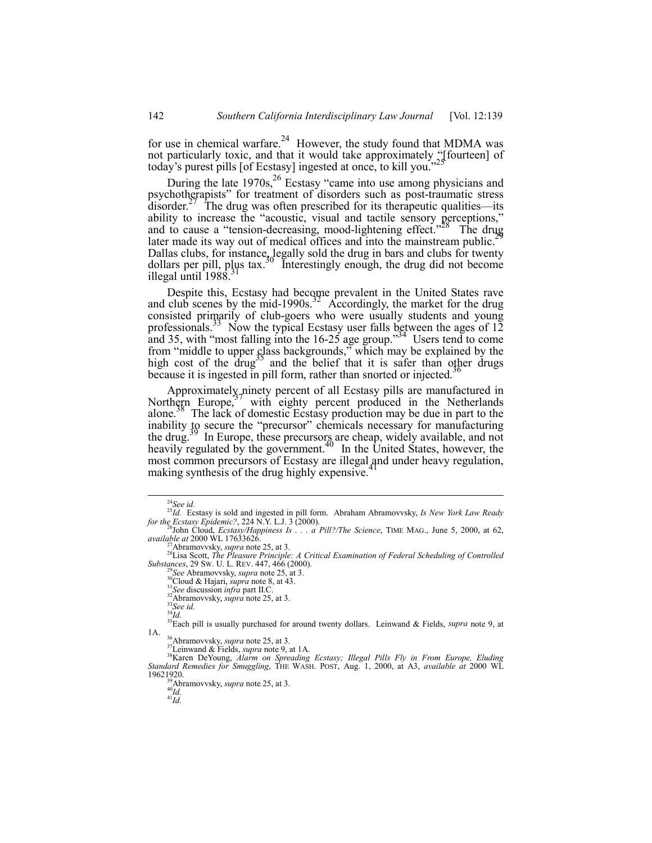for use in chemical warfare.<sup>24</sup> However, the study found that MDMA was not particularly toxic, and that it would take approximately  $\frac{1}{25}$  fourteen] of today's purest pills [of Ecstasy] ingested at once, to kill you.<sup>7</sup>

During the late  $1970s<sub>1</sub><sup>26</sup>$  Ecstasy "came into use among physicians and psychotherapists" for treatment of disorders such as post-traumatic stress  $\frac{d}{dx}$  disorder.<sup>27</sup> The drug was often prescribed for its therapeutic qualities—its ability to increase the "acoustic, visual and tactile sensory perceptions," and to cause a "tension-decreasing, mood-lightening effect."<sup>28</sup> The drug later made its way out of medical offices and into the mainstream public.<sup>2</sup> Dallas clubs, for instance, legally sold the drug in bars and clubs for twenty dollars per pill, plus tax.<sup>30</sup> Interestingly enough, the drug did not become illegal until  $1988$ .

Despite this, Ecstasy had become prevalent in the United States rave and club scenes by the mid-1990s.<sup>32</sup> Accordingly, the market for the drug consisted primarily of club-goers who were usually students and young professionals.<sup>33</sup> Now the typical Ecstasy user falls between the ages of  $12$ and 35, with "most falling into the  $16-25$  age group."<sup>34</sup> Users tend to come from "middle to upper class backgrounds," which may be explained by the high cost of the drug<sup>35</sup> and the belief that it is safer than other drugs because it is ingested in pill form, rather than snorted or injected.<sup>36</sup>

Approximately ninety percent of all Ecstasy pills are manufactured in Northern Europe,<sup>37</sup> with eighty percent produced in the Netherlands alone.<sup>38</sup> The lack of domestic Ecstasy production may be due in part to the inability to secure the "precursor" chemicals necessary for manufacturing the drug. In Europe, these precursors are cheap, widely available, and not heavily regulated by the government.<sup>40</sup> In the United States, however, the most common precursors of Ecstasy are illegal and under heavy regulation, making synthesis of the drug highly expensive.

<sup>&</sup>lt;sup>24</sup>See id.<br><sup>25</sup>*Id.* Ecstasy is sold and ingested in pill form. Abraham Abramovvsky, *Is New York Law Ready* for the *Ecstasy Epidemic?*, 224 N.Y. L.J. 3 (2000).

*for the Ecstasy Happiness Is . . . a Pill?/The Science*, TIME MAG., June 5, 2000, at 62, *available at* 2000 WL 17633626. *available at* 2000 WL 17633626. 27Abramovvsky, *supra* note 25, at 3. 28Lisa Scott, *The Pleasure Principle: A Critical Examination of Federal Scheduling of Controlled*

Substances, 29 Sw. U. L. REV. 447, 466 (2000).<br>
<sup>29</sup>See Abramovvsky, *supra* note 25, at 3.<br>
<sup>31</sup>Cloud & Hajari, *supra* note 8, at 43.<br>
<sup>31</sup>See discussion *infra* part II.C.<br>
<sup>32</sup>Abramovvsky, *supra* note 25, at 3.<br>
<sup>32</sup>

<sup>1</sup>A.<br><sup>35</sup>Abramovvsky, *supra* note 25, at 3.<br><sup>37</sup>Leinwand & Fields, *supra* note 9, at 1A.<br><sup>38</sup>Karen DeYoung, *Alarm on Spreading Ecstasy; Illegal Pills Fly in From Europe, Eluding*<br>*Standard Remedies for Smuggling*, THE WA 19621920.<br><sup>39</sup>Abramovvsky, *supra* note 25, at 3.<br><sup>40</sup>*Id.* 41*Id*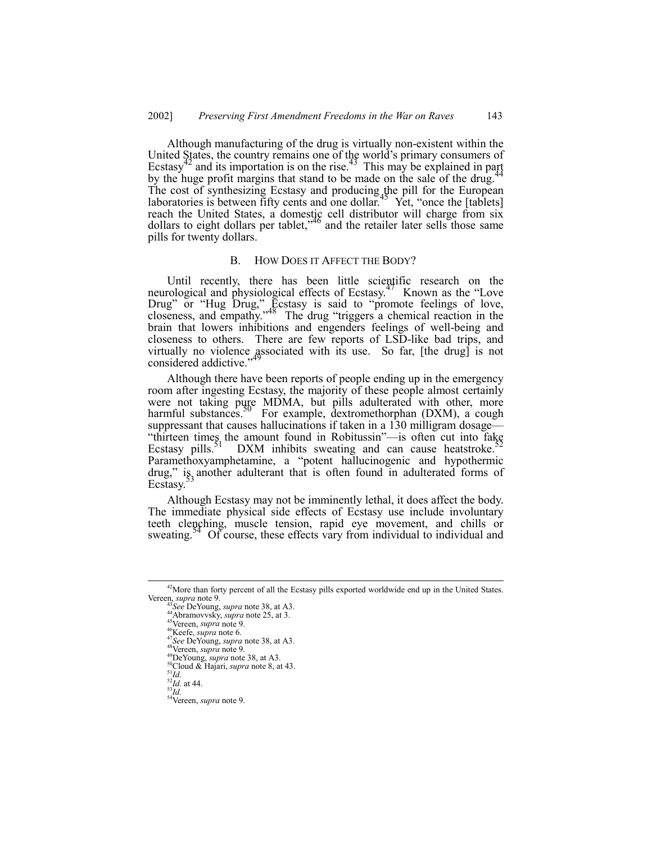Although manufacturing of the drug is virtually non-existent within the United States, the country remains one of the world's primary consumers of Ecstasy<sup>42</sup> and its importation is on the rise.<sup>43</sup> This may be explained in part by the huge profit margins that stand to be made on the sale of the drug. The cost of synthesizing Ecstasy and producing the pill for the European laboratories is between fifty cents and one dollar.<sup>45</sup> Yet, "once the [tablets] reach the United States, a domestic cell distributor will charge from six dollars to eight dollars per tablet,<sup>46</sup> and the retailer later sells those same pills for twenty dollars.

#### B. HOW DOES IT AFFECT THE BODY?

Until recently, there has been little scientific research on the neurological and physiological effects of Ecstasy.<sup>47</sup> Known as the "Love Drug" or "Hug Drug," Ecstasy is said to "promote feelings of love, closeness, and empathy."<sup>48</sup> The drug "triggers a chemical reaction in the brain that lowers inhibitions and engenders feelings of well-being and closeness to others. There are few reports of LSD-like bad trips, and virtually no violence associated with its use. So far, [the drug] is not considered addictive."<sup>49</sup>

Although there have been reports of people ending up in the emergency room after ingesting Ecstasy, the majority of these people almost certainly were not taking pure MDMA, but pills adulterated with other, more harmful substances.<sup>50</sup> For example, dextromethorphan (DXM), a cough suppressant that causes hallucinations if taken in a 130 milligram dosage— "thirteen times the amount found in Robitussin"—is often cut into fake Ecstasy pills. DXM inhibits sweating and can cause heatstroke.<sup>52</sup> DXM inhibits sweating and can cause heatstroke. Paramethoxyamphetamine, a "potent hallucinogenic and hypothermic drug," is another adulterant that is often found in adulterated forms of Ecstasy.

Although Ecstasy may not be imminently lethal, it does affect the body. The immediate physical side effects of Ecstasy use include involuntary teeth clenching, muscle tension, rapid eye movement, and chills or sweating.<sup>54</sup> Of course, these effects vary from individual to individual and

<sup>&</sup>lt;sup>42</sup>More than forty percent of all the Ecstasy pills exported worldwide end up in the United States.<br>Vereen, supra note 9.

<sup>&</sup>lt;sup>43</sup>See DeYoung, *supra* note 38, at A3.<br>
<sup>44</sup>See DeYoung, *supra* note 25, at 3.<br>
<sup>44</sup>Nereen, *supra* note 6.<br>
<sup>47</sup>Nereen, *supra* note 6.<br>
<sup>47</sup>Nee DeYoung, *supra* note 38, at A3.<br>
<sup>47</sup>See DeYoung, *supra* note 38, at A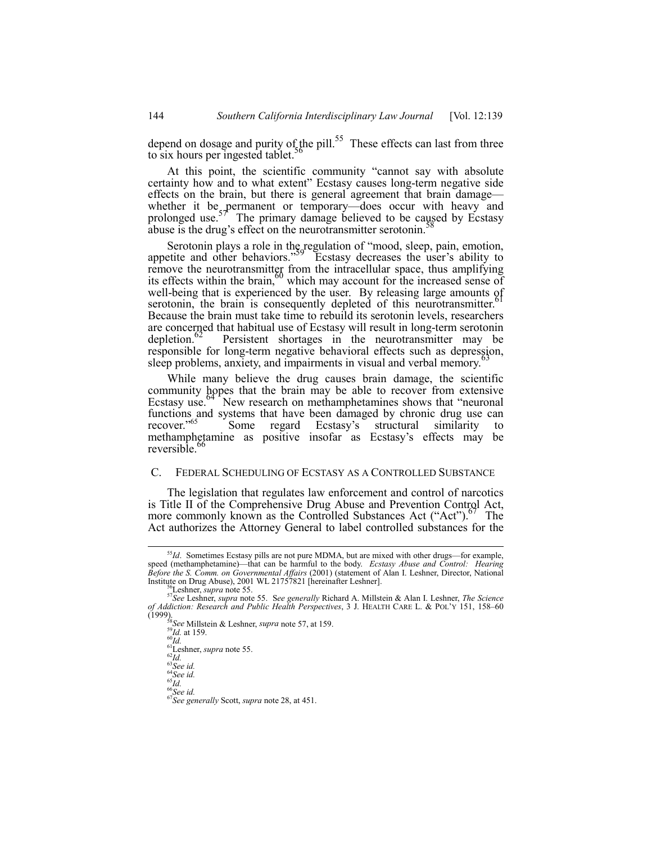depend on dosage and purity of the pill.<sup>55</sup> These effects can last from three to six hours per ingested tablet.<sup>36</sup>

At this point, the scientific community "cannot say with absolute certainty how and to what extent" Ecstasy causes long-term negative side effects on the brain, but there is general agreement that brain damage whether it be permanent or temporary—does occur with heavy and prolonged use.<sup>57</sup> The primary damage believed to be caused by Ecstasy abuse is the drug's effect on the neurotransmitter serotonin.

Serotonin plays a role in the regulation of "mood, sleep, pain, emotion, appetite and other behaviors."<sup>59</sup> Ecstasy decreases the user's ability to remove the neurotransmitter from the intracellular space, thus amplifying its effects within the brain,  $60$  which may account for the increased sense of well-being that is experienced by the user. By releasing large amounts of serotonin, the brain is consequently depleted of this neurotransmitter.<sup>6</sup> Because the brain must take time to rebuild its serotonin levels, researchers are concerned that habitual use of Ecstasy will result in long-term serotonin depletion.<sup>62</sup> Persistent shortages in the neurotransmitter may be responsible for long-term negative behavioral effects such as depression, sleep problems, anxiety, and impairments in visual and verbal memory.

While many believe the drug causes brain damage, the scientific community hopes that the brain may be able to recover from extensive Ecstasy use.<sup>64</sup> New research on methamphetamines shows that "neuronal functions and systems that have been damaged by chronic drug use can recover.<sup>765</sup> Some regard Ecstasy's structural similarity to Some regard Ecstasy's structural similarity to methamphetamine as positive insofar as Ecstasy's effects may be reversible.<sup>66</sup>

# C. FEDERAL SCHEDULING OF ECSTASY AS A CONTROLLED SUBSTANCE

The legislation that regulates law enforcement and control of narcotics is Title II of the Comprehensive Drug Abuse and Prevention Control Act, more commonly known as the Controlled Substances Act ("Act").<sup>67</sup> The Act authorizes the Attorney General to label controlled substances for the

<sup>&</sup>lt;sup>55</sup>Id. Sometimes Ecstasy pills are not pure MDMA, but are mixed with other drugs—for example, speed (methamphetamine)—that can be harmful to the body. *Ecstasy Abuse and Control: Hearing Before the S. Comm. on Governmental Affairs* (2001) (statement of Alan I. Leshner, Director, National

<sup>&</sup>lt;sup>56</sup>Leshner, *supra* note 55.<br><sup>57</sup>See Leshner, *supra* note 55. See generally Richard A. Millstein & Alan I. Leshner, *The Science of Addiction: Research and Public Health Perspectives*, 3 J. HEALTH CARE L. & POL'Y 151, 158–60 (1999).<br>(1999).<br><sup>58</sup>*See* Millstein & Leshner, *supra* note 57, at 159.

<sup>&</sup>lt;sup>58</sup>See Millstein & Leshner, *supra* note 57, at<br><sup>61</sup>Id. at 159.<br><sup>61</sup>Leshner, *supra* note 55.<br><sup>62</sup>Id.<br><sup>63</sup>See id.<br><sup>65</sup>See id.<br><sup>65</sup>See id.<br><sup>65</sup>See id.<br><sup>65</sup>See generally Scott, *supra* note 28, at 451.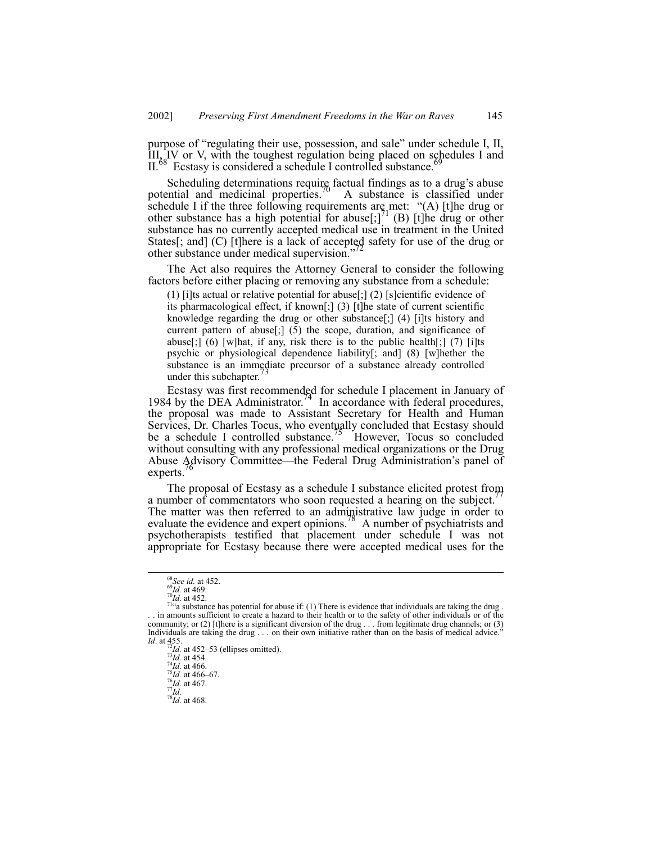purpose of "regulating their use, possession, and sale" under schedule I, II,  $\hat{I}II$ ,  $\hat{I}V$  or V, with the toughest regulation being placed on schedules I and II.<sup>68</sup> Ecstasy is considered a schedule I controlled substance.

Scheduling determinations require factual findings as to a drug's abuse potential and medicinal properties.<sup>70</sup> A substance is classified under schedule I if the three following requirements are met: "(A) [t]he drug or other substance has a high potential for abuse[;]<sup>71</sup> (B) [t]he drug or other substance has no currently accepted medical use in treatment in the United States[; and] (C) [t]here is a lack of accepted safety for use of the drug or other substance under medical supervision.<sup>7</sup>

The Act also requires the Attorney General to consider the following factors before either placing or removing any substance from a schedule:

(1) [i]ts actual or relative potential for abuse[;] (2) [s]cientific evidence of its pharmacological effect, if known[;] (3) [t]he state of current scientific knowledge regarding the drug or other substance[;] (4) [i]ts history and current pattern of abuse[;] (5) the scope, duration, and significance of abuse[;] (6) [w]hat, if any, risk there is to the public health[;] (7) [i]ts psychic or physiological dependence liability[; and] (8) [w]hether the substance is an immediate precursor of a substance already controlled under this subchapter.

Ecstasy was first recommended for schedule I placement in January of 1984 by the DEA Administrator. $44$  In accordance with federal procedures, the proposal was made to Assistant Secretary for Health and Human Services, Dr. Charles Tocus, who eventually concluded that Ecstasy should be a schedule I controlled substance.<sup>15</sup> However, Tocus so concluded without consulting with any professional medical organizations or the Drug Abuse Advisory Committee—the Federal Drug Administration's panel of experts.

The proposal of Ecstasy as a schedule I substance elicited protest from a number of commentators who soon requested a hearing on the subject.<sup>1</sup> The matter was then referred to an administrative law judge in order to evaluate the evidence and expert opinions.<sup>78</sup> A number of psychiatrists and psychotherapists testified that placement under schedule I was not appropriate for Ecstasy because there were accepted medical uses for the

<sup>&</sup>lt;sup>68</sup>*See id.* at 452.<br><sup>69</sup>*Id.* at 452.<br><sup>71</sup><sup>a</sup> substance has potential for abuse if: (1) There is evidence that individuals are taking the drug .<br><sup>714</sup>a substance has potential for abuse if: (1) There is evidence that in . . in amounts sufficient to create a hazard to their health or to the safety of other individuals or of the community; or (2) [t]here is a significant diversion of the drug . . . from legitimate drug channels; or (3) Individuals are taking the drug... on their own initiative rather than on the basis of medical advice. *Id.* at 455. <sup>72</sup>*Id.* at 452–53 (ellipses omitted).<br><sup>73</sup>*Id.* at 454. <sup>74</sup>*Id.* at 466. <sup>75</sup>*Id.* at 466. <sup>75</sup>*Id.* at 466–67. *76Id.* 4467. *77<sub>Id.</sub> 8<sup>8</sup>Id.* at 468. <sup>78</sup>*Id.* at 468.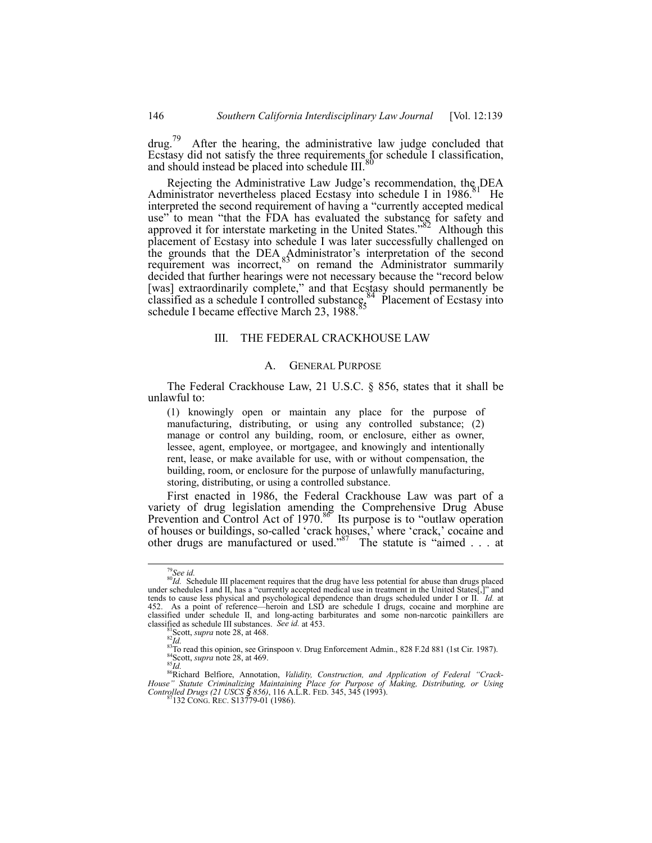$d\mu$ g.<sup>79</sup> After the hearing, the administrative law judge concluded that Ecstasy did not satisfy the three requirements for schedule I classification, and should instead be placed into schedule III.<sup>80</sup>

Rejecting the Administrative Law Judge's recommendation, the DEA Administrator nevertheless placed Ecstasy into schedule I in  $1986$ <sup>81</sup> He interpreted the second requirement of having a "currently accepted medical use" to mean "that the FDA has evaluated the substance for safety and approved it for interstate marketing in the United States."<sup>82</sup> Although this placement of Ecstasy into schedule I was later successfully challenged on the grounds that the DEA  $_8$ Administrator's interpretation of the second requirement was incorrect,<sup>83</sup> on remand the Administrator summarily decided that further hearings were not necessary because the "record below [was] extraordinarily complete," and that Ecstasy should permanently be classified as a schedule I controlled substance, <sup>84</sup> Placement of Ecstasy into classified as a schedule I controlled substance.84 Placement of Ecstasy into schedule I became effective March 23, 1988.<sup>85</sup>

### III. THE FEDERAL CRACKHOUSE LAW

#### A. GENERAL PURPOSE

The Federal Crackhouse Law, 21 U.S.C. ß 856, states that it shall be unlawful to:

(1) knowingly open or maintain any place for the purpose of manufacturing, distributing, or using any controlled substance; (2) manage or control any building, room, or enclosure, either as owner, lessee, agent, employee, or mortgagee, and knowingly and intentionally rent, lease, or make available for use, with or without compensation, the building, room, or enclosure for the purpose of unlawfully manufacturing, storing, distributing, or using a controlled substance.

First enacted in 1986, the Federal Crackhouse Law was part of a variety of drug legislation amending the Comprehensive Drug Abuse Prevention and Control Act of  $1970$ .<sup>86</sup> Its purpose is to "outlaw operation of houses or buildings, so-called 'crack houses,' where 'crack,' cocaine and other drugs are manufactured or used.<sup>87</sup> The statute is "aimed . . . at

<sup>&</sup>lt;sup>79</sup>See id.<br><sup>80</sup>Id. Schedule III placement requires that the drug have less potential for abuse than drugs placed under schedules I and II, has a "currently accepted medical use in treatment in the United States[,]" and tends to cause less physical and psychological dependence than drugs scheduled under I or II. *Id.* at 452. As a point of reference—heroin and LSD are schedule I drugs, cocaine and morphine are classified under schedule II, and long-acting barbiturates and some non-narcotic painkillers are classified as schedule III substances. See id. at  $453$ .

classified as schedule III substances. *See id.* at 453.<br><sup>81</sup>Scott, *supra* note 28, at 468.<br><sup>82</sup>Id.<br><sup>82</sup>Cott, *supra* note 28, at 469.<br><sup>84</sup>Scott, *supra* note 28, at 469.<br><sup>84</sup>Scott, *supra* note 28, at 469.<br><sup>86</sup>Richard B

*House" Statute Criminalizing Maintaining Place for Purpose of Making, Distributing, or Using*<br>Controlled Drugs (21 USCS § 856), 116 A.L.R. FED. 345, 345 (1993).<br><sup>87</sup>132 CONG. REC. S13779-01 (1986).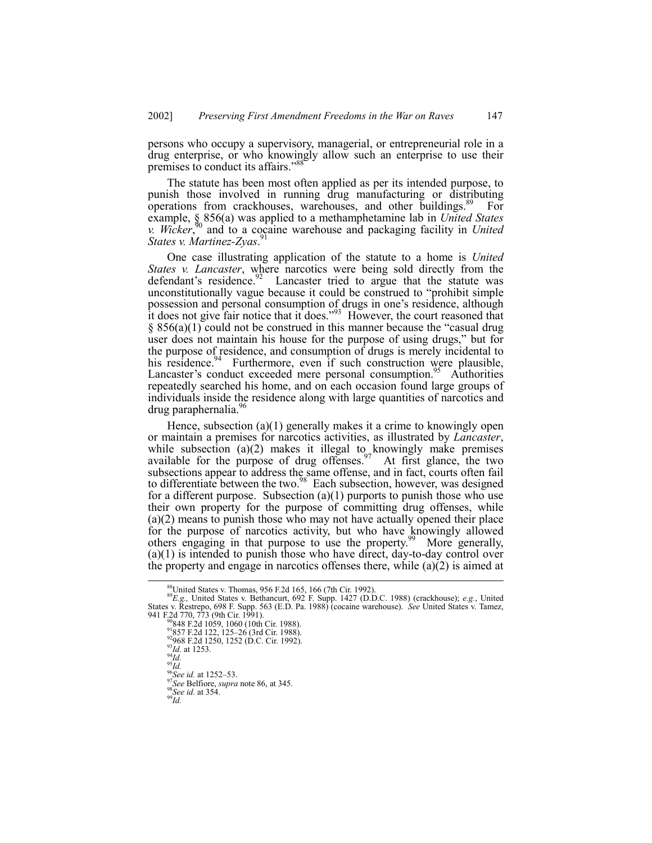persons who occupy a supervisory, managerial, or entrepreneurial role in a drug enterprise, or who knowingly allow such an enterprise to use their premises to conduct its affairs.<sup>38</sup>

The statute has been most often applied as per its intended purpose, to punish those involved in running drug manufacturing or distributing operations from crackhouses, warehouses, and other buildings.<sup>89</sup> For example, ß 856(a) was applied to a methamphetamine lab in *United States v. Wicker*, 90 and to a cocaine warehouse and packaging facility in *United States v. Martinez-Zyas*. 91

One case illustrating application of the statute to a home is *United States v. Lancaster*, where narcotics were being sold directly from the defendant's residence.<sup>92</sup> Lancaster tried to argue that the statute was unconstitutionally vague because it could be construed to "prohibit simple possession and personal consumption of drugs in one's residence, although it does not give fair notice that it does.<sup>393</sup> However, the court reasoned that  $§ 856(a)(1)$  could not be construed in this manner because the "casual drug" user does not maintain his house for the purpose of using drugs," but for the purpose of residence, and consumption of drugs is merely incidental to his residence.<sup>94</sup> Furthermore, even if such construction were plausible, Furthermore, even if such construction were plausible, Lancaster's conduct exceeded mere personal consumption.<sup>95</sup> Authorities repeatedly searched his home, and on each occasion found large groups of individuals inside the residence along with large quantities of narcotics and drug paraphernalia.<sup>96</sup>

Hence, subsection (a)(1) generally makes it a crime to knowingly open or maintain a premises for narcotics activities, as illustrated by *Lancaster*, while subsection (a)(2) makes it illegal to knowingly make premises available for the purpose of drug offenses.<sup>97</sup> At first glance, the two subsections appear to address the same offense, and in fact, courts often fail to differentiate between the two.<sup>98</sup> Each subsection, however, was designed for a different purpose. Subsection  $(a)(1)$  purports to punish those who use their own property for the purpose of committing drug offenses, while (a)(2) means to punish those who may not have actually opened their place for the purpose of narcotics activity, but who have knowingly allowed others engaging in that purpose to use the property.<sup>99</sup> More generally, (a)(1) is intended to punish those who have direct, day-to-day control over the property and engage in narcotics offenses there, while  $(a)(2)$  is aimed at

 <sup>88</sup>United States v. Thomas, 956 F.2d 165, 166 (7th Cir. 1992). <sup>89</sup>*E.g.,* United States v. Bethancurt, 692 F. Supp. 1427 (D.D.C. 1988) (crackhouse); *e.g.*, United States v. Restrepo, 698 F. Supp. 563 (E.D. Pa. 1988) (cocaine warehouse). *See* United States v. Tamez, 941 F.2d 770, 773 (9th Cir. 1991).<br>
<sup>90</sup>848 F.2d 1059, 1060 (10th Cir. 1988).

<sup>&</sup>lt;sup>91</sup>857 F.2d 122, 125–26 (3rd Cir. 1988).<br><sup>92</sup>968 F.2d 1250, 1252 (D.C. Cir. 1992).<br><sup>93</sup>*Id.* at 1253.<br><sup>94</sup>*Id.*<br><sup>96</sup> See id. at 1252–53.<br><sup>97</sup> See Belfiore, *supra* note 86, at 345.<br><sup>98</sup> See id. at 354.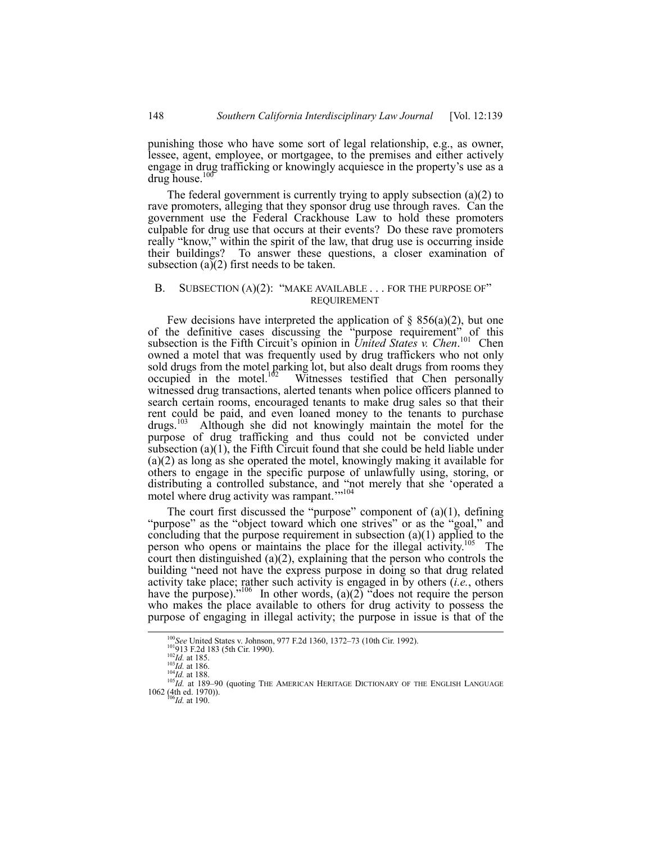punishing those who have some sort of legal relationship, e.g., as owner, lessee, agent, employee, or mortgagee, to the premises and either actively engage in drug trafficking or knowingly acquiesce in the property's use as a drug house. $10$ 

The federal government is currently trying to apply subsection (a)(2) to rave promoters, alleging that they sponsor drug use through raves. Can the government use the Federal Crackhouse Law to hold these promoters culpable for drug use that occurs at their events? Do these rave promoters really "know," within the spirit of the law, that drug use is occurring inside their buildings? To answer these questions, a closer examination of subsection (a) $(2)$  first needs to be taken.

# B. SUBSECTION  $(A)(2)$ : "MAKE AVAILABLE . . . FOR THE PURPOSE OF" REQUIREMENT

Few decisions have interpreted the application of  $\S$  856(a)(2), but one of the definitive cases discussing the "purpose requirement" of this subsection is the Fifth Circuit's opinion in *United States v. Chen.*<sup>101</sup> Chen owned a motel that was frequently used by drug traffickers who not only sold drugs from the motel parking lot, but also dealt drugs from rooms they  $\alpha$  occupied in the motel.<sup>102</sup> Witnesses testified that Chen personally witnessed drug transactions, alerted tenants when police officers planned to search certain rooms, encouraged tenants to make drug sales so that their rent could be paid, and even loaned money to the tenants to purchase drugs.103 Although she did not knowingly maintain the motel for the purpose of drug trafficking and thus could not be convicted under subsection  $(a)(1)$ , the Fifth Circuit found that she could be held liable under (a)(2) as long as she operated the motel, knowingly making it available for others to engage in the specific purpose of unlawfully using, storing, or distributing a controlled substance, and "not merely that she 'operated a motel where drug activity was rampant."<sup>104</sup>

The court first discussed the "purpose" component of  $(a)(1)$ , defining "purpose" as the "object toward which one strives" or as the "goal," and concluding that the purpose requirement in subsection  $(a)(1)$  applied to the person who opens or maintains the place for the illegal activity.<sup>105</sup> The court then distinguished (a)(2), explaining that the person who controls the building "need not have the express purpose in doing so that drug related activity take place; rather such activity is engaged in by others (*i.e.*, others have the purpose).<sup> $2106$ </sup> In other words, (a)(2)  $\degree$  does not require the person who makes the place available to others for drug activity to possess the purpose of engaging in illegal activity; the purpose in issue is that of the

<sup>&</sup>lt;sup>100</sup>See United States v. Johnson, 977 F.2d 1360, 1372–73 (10th Cir. 1992).<br><sup>101</sup>913 F.2d 183 (5th Cir. 1990).<br><sup>102</sup>Id. at 185.<br><sup>103</sup>Id. at 186.<br><sup>104</sup>Id. at 188.<br><sup>105</sup>Id. at 189–90 (quoting THE AMERICAN HERITAGE DICTIONAR 1062 (4th ed. 1970)). <sup>106</sup>*Id.* at 190.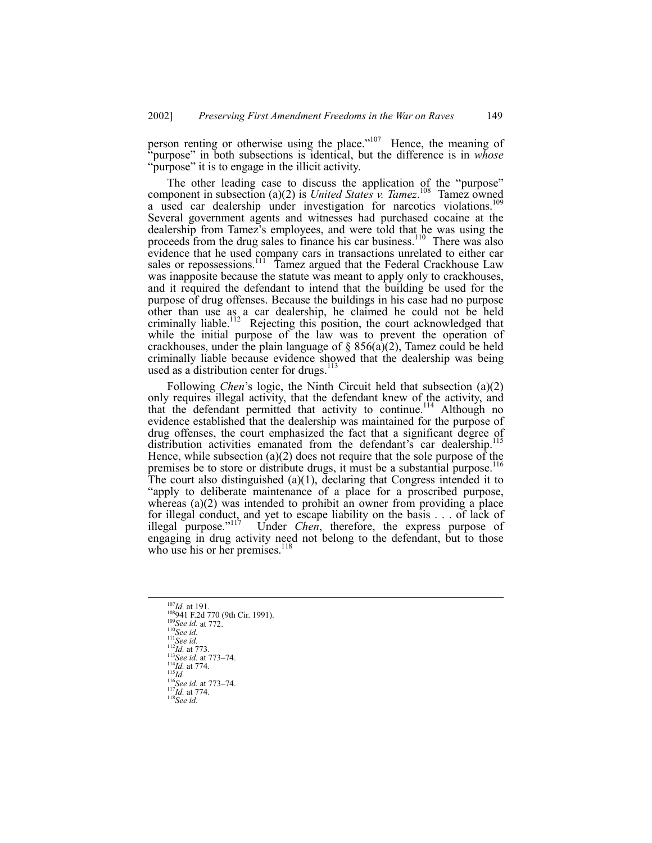person renting or otherwise using the place."<sup>107</sup> Hence, the meaning of ìpurposeî in both subsections is identical, but the difference is in *whose* "purpose" it is to engage in the illicit activity.

The other leading case to discuss the application of the "purpose" component in subsection (a)(2) is *United States v. Tamez*.<sup>108</sup> Tamez owned a used car dealership under investigation for narcotics violations.<sup>109</sup> Several government agents and witnesses had purchased cocaine at the dealership from Tamez's employees, and were told that he was using the proceeds from the drug sales to finance his car business.<sup>110</sup> There was also evidence that he used company cars in transactions unrelated to either car sales or repossessions.<sup>111</sup> Tamez argued that the Federal Crackhouse Law was inapposite because the statute was meant to apply only to crackhouses, and it required the defendant to intend that the building be used for the purpose of drug offenses. Because the buildings in his case had no purpose other than use as a car dealership, he claimed he could not be held criminally liable.<sup>112</sup> Rejecting this position, the court acknowledged that while the initial purpose of the law was to prevent the operation of crackhouses, under the plain language of  $\S$  856(a)(2), Tamez could be held criminally liable because evidence showed that the dealership was being used as a distribution center for drugs. $113$ 

Following *Chen's* logic, the Ninth Circuit held that subsection (a)(2) only requires illegal activity, that the defendant knew of the activity, and that the defendant permitted that activity to continue.<sup>114</sup> Although no evidence established that the dealership was maintained for the purpose of evidence established that the detection is the matter of drug offenses, the court emphasized the fact that a significant degree of distribution activities emanated from the defendant's car dealership. Hence, while subsection (a)(2) does not require that the sole purpose of the premises be to store or distribute drugs, it must be a substantial purpose.<sup>116</sup> The court also distinguished (a)(1), declaring that Congress intended it to "apply to deliberate maintenance of a place for a proscribed purpose, whereas (a)(2) was intended to prohibit an owner from providing a place for illegal conduct, and yet to escape liability on the basis . . . of lack of illegal purpose."<sup>117</sup> Under *Chen*, therefore, the express purpose of engaging in drug activity need not belong to the defendant, but to those who use his or her premises.<sup>118</sup>

<sup>107</sup>*Id.* at 191.<br>
<sup>108</sup>941 F.2d 770 (9th Cir. 1991).<br>
<sup>109</sup>*See id.* at 772.<br>
<sup>111</sup>*See id.*<br>
<sup>112</sup>*Id.* at 773.<br>
<sup>113</sup>*See id.* at 773–74.<br>
<sup>114</sup>*Id.* at 774.<br>
<sup>116</sup>*See id.* at 773–74.<br>
<sup>117</sup>*Id.* at 774.<br>
<sup>118</sup>*See i*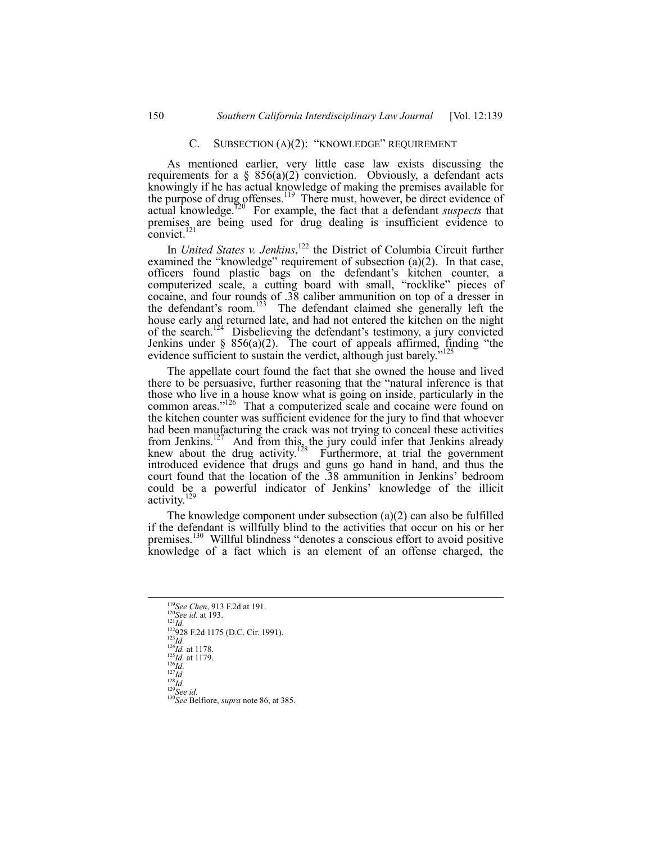# C. SUBSECTION  $(A)(2)$ : "KNOWLEDGE" REQUIREMENT

As mentioned earlier, very little case law exists discussing the requirements for a §  $856(a)(2)$  conviction. Obviously, a defendant acts knowingly if he has actual knowledge of making the premises available for the purpose of drug offenses.<sup>119</sup> There must, however, be direct evidence of actual knowledge.120 For example, the fact that a defendant *suspects* that premises are being used for drug dealing is insufficient evidence to convict. $121$ 

In *United States v. Jenkins*, 122 the District of Columbia Circuit further examined the "knowledge" requirement of subsection  $(a)(2)$ . In that case, officers found plastic bags on the defendant's kitchen counter, a computerized scale, a cutting board with small, "rocklike" pieces of cocaine, and four rounds of .38 caliber ammunition on top of a dresser in the defendant's room.<sup>123</sup> The defendant claimed she generally left the house early and returned late, and had not entered the kitchen on the night of the search.<sup>124</sup> Disbelieving the defendant's testimony, a jury convicted Jenkins under  $\S$  856(a)(2). The court of appeals affirmed, finding "the evidence sufficient to sustain the verdict, although just barely.<sup>2</sup>

The appellate court found the fact that she owned the house and lived there to be persuasive, further reasoning that the "natural inference is that those who live in a house know what is going on inside, particularly in the common areas."<sup>126</sup> That a computerized scale and cocaine were found on the kitchen counter was sufficient evidence for the jury to find that whoever had been manufacturing the crack was not trying to conceal these activities from Jenkins.<sup>127</sup> And from this, the jury could infer that Jenkins already knew about the drug activity.<sup>128</sup> Furthermore, at trial the government introduced evidence that drugs and guns go hand in hand, and thus the court found that the location of the .38 ammunition in Jenkins' bedroom could be a powerful indicator of Jenkins' knowledge of the illicit activity.<sup>129</sup>

The knowledge component under subsection (a)(2) can also be fulfilled if the defendant is willfully blind to the activities that occur on his or her premises.<sup>130</sup> Willful blindness "denotes a conscious effort to avoid positive knowledge of a fact which is an element of an offense charged, the

<sup>&</sup>lt;sup>119</sup>See Chen, 913 F.2d at 191.<br>
<sup>120</sup>See id. at 193.<br>
<sup>121</sup>Id.<br>
<sup>121</sup>Id.<br>
<sup>123</sup>28 F.2d 1175 (D.C. Cir. 1991).<br>
<sup>124</sup>Id. at 1178.<br>
<sup>125</sup>Id. at 1179.<br>
<sup>127</sup>Id.<br>
<sup>127</sup>Id.<br>
<sup>129</sup>See id.<br>
<sup>129</sup>See id.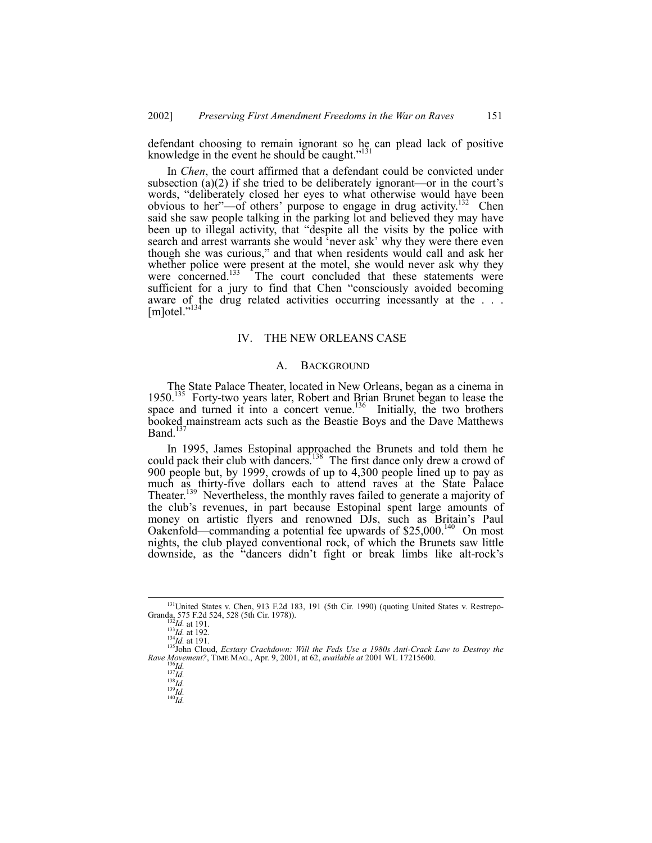defendant choosing to remain ignorant so he can plead lack of positive knowledge in the event he should be caught."<sup>131</sup>

In *Chen*, the court affirmed that a defendant could be convicted under subsection (a)(2) if she tried to be deliberately ignorant—or in the court's words, "deliberately closed her eyes to what otherwise would have been obvious to her<sup>"</sup>—of others' purpose to engage in drug activity.<sup>132</sup> Chen said she saw people talking in the parking lot and believed they may have been up to illegal activity, that "despite all the visits by the police with search and arrest warrants she would 'never ask' why they were there even though she was curious," and that when residents would call and ask her whether police were present at the motel, she would never ask why they were concerned.<sup>133</sup> The court concluded that these statements were sufficient for a jury to find that Chen "consciously avoided becoming aware of the drug related activities occurring incessantly at the ...  $[m]$ otel." $^{134}$ 

#### IV. THE NEW ORLEANS CASE

#### A. BACKGROUND

The State Palace Theater, located in New Orleans, began as a cinema in 1950.<sup>135</sup> Forty-two years later, Robert and Brian Brunet began to lease the 1950.<sup>135</sup> Forty-two years later, Robert and Brian Brunet began to lease the space and turned it into a concert venue.<sup>136</sup> Initially, the two brothers booked mainstream acts such as the Beastie Boys and the Dave Matthews Band.<sup>137</sup>

In 1995, James Estopinal approached the Brunets and told them he could pack their club with dancers.<sup>138</sup> The first dance only drew a crowd of 900 people but, by 1999, crowds of up to 4,300 people lined up to pay as much as thirty-five dollars each to attend raves at the State Palace Theater.<sup>139</sup> Nevertheless, the monthly raves failed to generate a majority of the clubís revenues, in part because Estopinal spent large amounts of money on artistic flyers and renowned DJs, such as Britain's Paul Oakenfold—commanding a potential fee upwards of \$25,000.<sup>140</sup> On most nights, the club played conventional rock, of which the Brunets saw little downside, as the "dancers didn't fight or break limbs like alt-rock's

<sup>&</sup>lt;sup>131</sup>United States v. Chen, 913 F.2d 183, 191 (5th Cir. 1990) (quoting United States v. Restrepo-Granda, 575 F.2d 524, 528 (5th Cir. 1978)).<br><sup>132</sup>*Id.* at 191.<br><sup>134</sup>*Id.* at 192.<br><sup>135</sup>John Cloud, *Ecstasy Crackdown: Will the Feds Use a 1980s Anti-Crack Law to Destroy the* 

*Rave Movement?*, TIME MAG., Apr. 9, 2001, at 62, *available at* 2001 WL 17215600. 136*Id.* 13*Id.* 138*Id.* 138*Id.* 138*Id.* 138*Id.* 138*Id.* 138*Id.* 138*Id.* 140*Id.* 140*Id.* 140*Id.*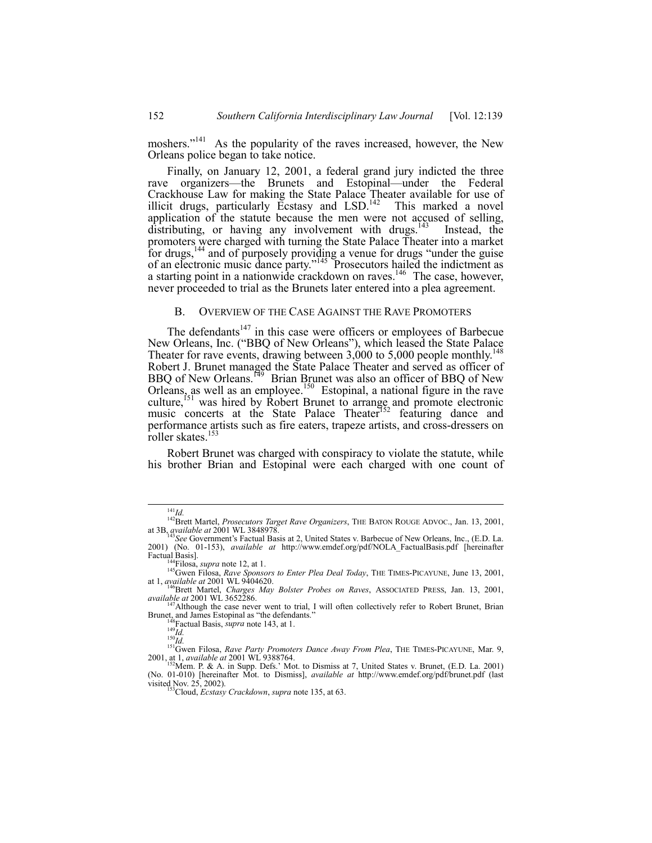moshers.<sup>"141</sup> As the popularity of the raves increased, however, the New Orleans police began to take notice.

Finally, on January 12, 2001, a federal grand jury indicted the three rave organizers—the Brunets and Estopinal—under the Federal Crackhouse Law for making the State Palace Theater available for use of illicit drugs, particularly Ecstasy and LSD.<sup>142</sup> This marked a novel application of the statute because the men were not accused of selling, distributing, or having any involvement with drugs.<sup>143</sup> Instead, the distributing, or having any involvement with drugs. $143$ promoters were charged with turning the State Palace Theater into a market for drugs,<sup>144</sup> and of purposely providing a venue for drugs "under the guise of an electronic music dance party."<sup>145</sup> Prosecutors hailed the indictment as a starting point in a nationwide crackdown on raves.<sup>146</sup> The case, however, never proceeded to trial as the Brunets later entered into a plea agreement.

# B. OVERVIEW OF THE CASE AGAINST THE RAVE PROMOTERS

The defendants<sup>147</sup> in this case were officers or employees of Barbecue New Orleans, Inc. ("BBQ of New Orleans"), which leased the State Palace Theater for rave events, drawing between  $3,000$  to 5,000 people monthly.<sup>148</sup> Robert J. Brunet managed the State Palace Theater and served as officer of BBQ of New Orleans.<sup>149</sup> Brian Brunet was also an officer of BBQ of New Orleans, as well as an employee.<sup>150</sup> Estopinal, a national figure in the rave culture,<sup>151</sup> was hired by Robert Brunet to arrange and promote electronic music concerts at the State Palace Theater<sup>152</sup> featuring dance and performance artists such as fire eaters, trapeze artists, and cross-dressers on roller skates.<sup>153</sup>

Robert Brunet was charged with conspiracy to violate the statute, while his brother Brian and Estopinal were each charged with one count of

<sup>148</sup> Factual Basis, *supra* note 143, at 1.<br><sup>149</sup>*Id.* 150*Id.* 150*Id.* 150*Id.* 151Gwen Filosa, *Rave Party Promoters Dance Away From Plea*, THE TIMES-PICAYUNE, Mar. 9, 2001, at 1, *available at* 2001 WL 9388764. 2001 WL 9388764. 152Mem. P. & A. in Supp. Defs.<sup>7</sup> Mot. to Dismiss at 7, United States v. Brunet, (E.D. La. 2001)

<sup>&</sup>lt;sup>141</sup>*Id.* <sup>142</sup>Brett Martel, *Prosecutors Target Rave Organizers*, THE BATON ROUGE ADVOC., Jan. 13, 2001, at 3B, *available at* 2001 WL 3848978.

<sup>&</sup>lt;sup>S</sup>See Government's Factual Basis at 2, United States v. Barbecue of New Orleans, Inc., (E.D. La. 2001) (No. 01-153), *available at* http://www.emdef.org/pdf/NOLA\_FactualBasis.pdf [hereinafter

<sup>&</sup>lt;sup>144</sup>Filosa, *supra* note 12, at 1.<br><sup>145</sup>Gwen Filosa, *Rave Sponsors to Enter Plea Deal Today*, THE TIMES-PICAYUNE, June 13, 2001,

at 1, *available at* 2001 WL 9404620.<br><sup>146</sup>Brett Martel, *Charges May Bolster Probes on Raves*, ASSOCIATED PRESS, Jan. 13, 2001, *available at* 2001 WL 3652286.

<sup>&</sup>lt;sup>147</sup>Although the case never went to trial, I will often collectively refer to Robert Brunet, Brian Brunet<sub>, a</sub>nd James Estopinal as "the defendants."

<sup>(</sup>No. 01-010) [hereinafter Mot. to Dismiss], *available at* http://www.emdef.org/pdf/brunet.pdf (last visited Nov. 25, 2002).<br><sup>153</sup>Cloud, *Ecstasy Crackdown*, *supra* note 135, at 63.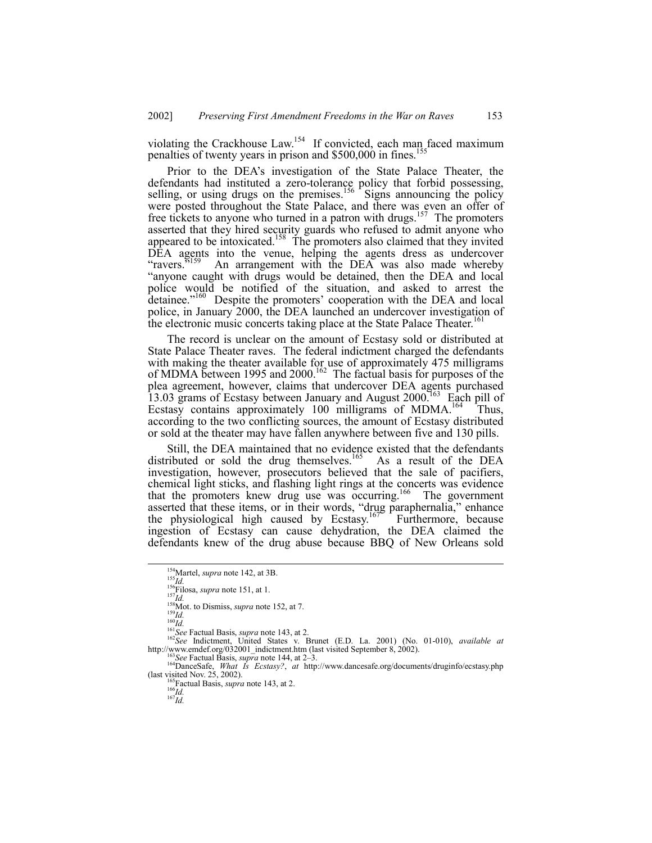violating the Crackhouse Law.<sup>154</sup> If convicted, each man faced maximum penalties of twenty years in prison and  $$500,000$  in fines.<sup>155</sup>

Prior to the DEA's investigation of the State Palace Theater, the defendants had instituted a zero-tolerance policy that forbid possessing, selling, or using drugs on the premises.<sup>156</sup> Signs announcing the policy were posted throughout the State Palace, and there was even an offer of free tickets to anyone who turned in a patron with drugs.<sup>157</sup> The promoters asserted that they hired security guards who refused to admit anyone who appeared to be intoxicated.<sup>158</sup> The promoters also claimed that they invited DEA agents into the venue, helping the agents dress as undercover "ravers.<sup>5159</sup> An arrangement with the DEA was also made whereby ìanyone caught with drugs would be detained, then the DEA and local police would be notified of the situation, and asked to arrest the detainee.<sup>7160</sup> Despite the promoters' cooperation with the DEA and local police, in January 2000, the DEA launched an undercover investigation of the electronic music concerts taking place at the State Palace Theater.<sup>161</sup>

The record is unclear on the amount of Ecstasy sold or distributed at State Palace Theater raves. The federal indictment charged the defendants with making the theater available for use of approximately 475 milligrams of MDMA between 1995 and 2000.<sup>162</sup> The factual basis for purposes of the plea agreement, however, claims that undercover DEA agents purchased 13.03 grams of Ecstasy between January and August 2000.<sup>163</sup> Each pill of Ecstasy contains approximately 100 milligrams of MDMA.<sup>164</sup> Thus, according to the two conflicting sources, the amount of Ecstasy distributed or sold at the theater may have fallen anywhere between five and 130 pills.

Still, the DEA maintained that no evidence existed that the defendants distributed or sold the drug themselves.<sup>165</sup> As a result of the DEA investigation, however, prosecutors believed that the sale of pacifiers, chemical light sticks, and flashing light rings at the concerts was evidence that the promoters knew drug use was occurring.<sup>166</sup> The government asserted that these items, or in their words, "drug paraphernalia," enhance the physiological high caused by Ecstasy.<sup>167</sup> Furthermore, because ingestion of Ecstasy can cause dehydration, the DEA claimed the defendants knew of the drug abuse because BBQ of New Orleans sold

<sup>&</sup>lt;sup>154</sup>Martel, *supra* note 142, at 3B.<br>
<sup>155</sup>Id.<br>
<sup>155</sup>Id.<br>
<sup>157</sup>Id.<br>
<sup>157</sup>Is Not. to Dismiss, *supra* note 152, at 7.<br>
<sup>160</sup>Id.<br>
<sup>160</sup>Id.<br>
<sup>161</sup>See Factual Basis, *supra* note 143, at 2.<br>
<sup>161</sup>See Indictment, United State

<sup>163</sup> See Factual Basis, supra note 144, at 2-3.<br>
<sup>164</sup>DanceSafe, *What Is Ecstasy?*, *at* http://www.dancesafe.org/documents/druginfo/ecstasy.php (last visited Nov. 25, 2002).

<sup>&</sup>lt;sup>165</sup>Factual Basis, *supra* note 143, at 2. <sup>166</sup>*Id.* 167*Id.*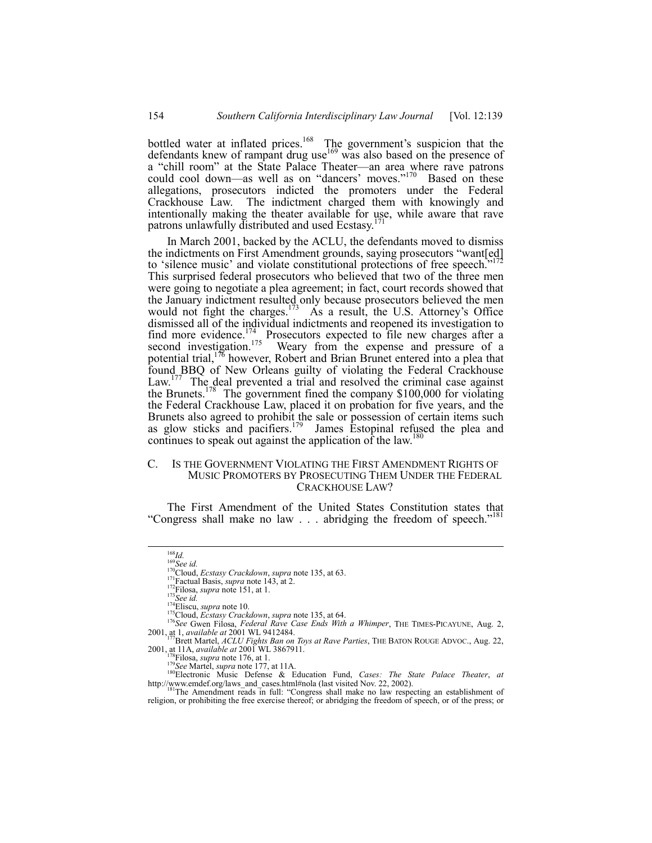bottled water at inflated prices.<sup>168</sup> The government's suspicion that the defendants knew of rampant drug use $169$  was also based on the presence of a "chill room" at the State Palace Theater—an area where rave patrons could cool down—as well as on "dancers' moves."<sup>170</sup> Based on these allegations, prosecutors indicted the promoters under the Federal Crackhouse Law. The indictment charged them with knowingly and intentionally making the theater available for use, while aware that rave patrons unlawfully distributed and used Ecstasy.<sup>171</sup>

In March 2001, backed by the ACLU, the defendants moved to dismiss In what ch zoon, backed by the rice by,  $\frac{1}{2}$ ,  $\frac{1}{2}$ ,  $\frac{1}{2}$  and  $\frac{1}{2}$  and  $\frac{1}{2}$  and  $\frac{1}{2}$  and  $\frac{1}{2}$ to 'silence music' and violate constitutional protections of free speech.<sup>7</sup> This surprised federal prosecutors who believed that two of the three men were going to negotiate a plea agreement; in fact, court records showed that the January indictment resulted only because prosecutors believed the men<br>would not fight the charges.<sup>173</sup> As a result, the U.S. Attorney's Office would not fight the charges.<sup>173</sup> dismissed all of the individual indictments and reopened its investigation to find more evidence.<sup>174</sup> Prosecutors expected to file new charges after a second investigation.<sup>175</sup> Weary from the expense and pressure of a potential trial,  $176$  however, Robert and Brian Brunet entered into a plea that found BBQ of New Orleans guilty of violating the Federal Crackhouse Law.<sup>177</sup> The deal prevented a trial and resolved the criminal case against the Brunets.<sup>178</sup> The government fined the company \$100,000 for violating the Federal Crackhouse Law, placed it on probation for five years, and the Brunets also agreed to prohibit the sale or possession of certain items such as glow sticks and pacifiers.<sup>179</sup> James Estopinal refused the plea and continues to speak out against the application of the law.<sup>180</sup>

# C. IS THE GOVERNMENT VIOLATING THE FIRST AMENDMENT RIGHTS OF MUSIC PROMOTERS BY PROSECUTING THEM UNDER THE FEDERAL CRACKHOUSE LAW?

The First Amendment of the United States Constitution states that "Congress shall make no law . . . abridging the freedom of speech."

<sup>&</sup>lt;sup>168</sup>*Id.*<br><sup>169</sup>*See id.*<br><sup>170</sup>Cloud, *Ecstasy Crackdown*, *supra* note 135, at 63.<br><sup>171</sup>Factual Basis, *supra* note 143, at 2.<br><sup>172</sup>*Filosa, supra* note 151, at 1.<br><sup>173</sup>*Cloud, Ecstasy Crackdown, supra* note 135, at 64.<br>

<sup>2001,</sup> at 1, *available at* 2001 WL 9412484.<br><sup>177</sup>Brett Martel, *ACLU Fights Ban on Toys at Rave Parties*, THE BATON ROUGE ADVOC., Aug. 22, 2001, at 11A, *available at* 2001 WL 3867911.

Fishers. When the 176, at 1.<br>
<sup>179</sup>See Martel, *supra* note 176, at 1.<br>
<sup>179</sup>See Martel, *supra* note 177, at 11A.<br>
<sup>180</sup>Electronic Music Defense & Education Fund, *Cases: The State Palace Theater*, *at* http://www.emdef.org/laws\_and\_cases.html#nola (last visited Nov. 22, 2002).<br><sup>181</sup>The Amendment reads in full: 'Congress shall make no law respecting an establishment of

religion, or prohibiting the free exercise thereof; or abridging the freedom of speech, or of the press; or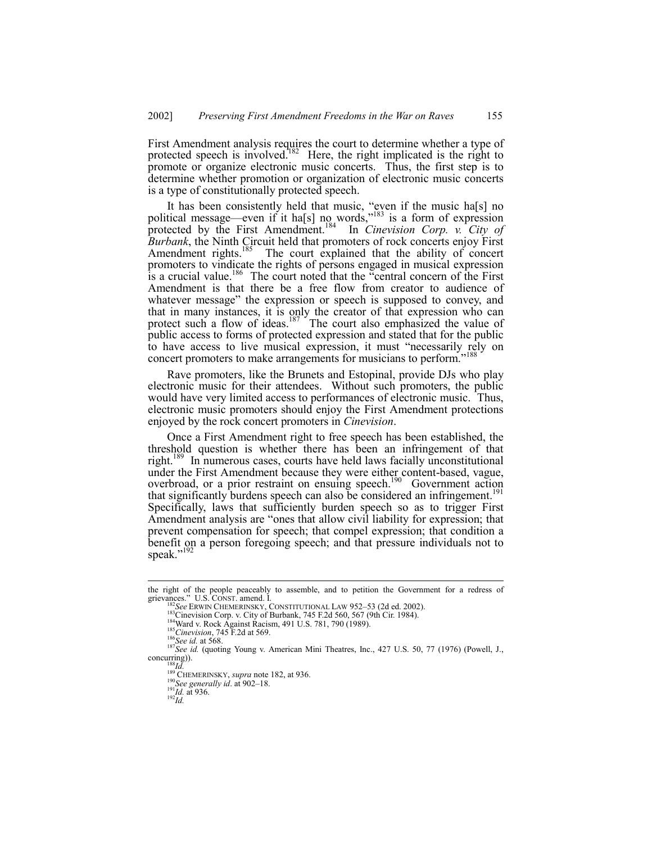First Amendment analysis requires the court to determine whether a type of protected speech is involved.<sup>182</sup> Here, the right implicated is the right to promote or organize electronic music concerts. Thus, the first step is to determine whether promotion or organization of electronic music concerts is a type of constitutionally protected speech.

It has been consistently held that music, "even if the music ha[s] no political message—even if it ha[s] no words,<sup> $183$ </sup> is a form of expression protected by the First Amendment.184 In *Cinevision Corp. v. City of Burbank*, the Ninth Circuit held that promoters of rock concerts enjoy First Amendment rights.<sup>185</sup> The court explained that the ability of concert promoters to vindicate the rights of persons engaged in musical expression is a crucial value.<sup>186</sup> The court noted that the "central concern of the First Amendment is that there be a free flow from creator to audience of whatever message" the expression or speech is supposed to convey, and that in many instances, it is only the creator of that expression who can protect such a flow of ideas.<sup>187</sup> The court also emphasized the value of public access to forms of protected expression and stated that for the public to have access to live musical expression, it must "necessarily rely on concert promoters to make arrangements for musicians to perform.<sup>?</sup>

Rave promoters, like the Brunets and Estopinal, provide DJs who play electronic music for their attendees. Without such promoters, the public would have very limited access to performances of electronic music. Thus, electronic music promoters should enjoy the First Amendment protections enjoyed by the rock concert promoters in *Cinevision*.

Once a First Amendment right to free speech has been established, the threshold question is whether there has been an infringement of that right.<sup>189</sup> In numerous cases, courts have held laws facially unconstitutional under the First Amendment because they were either content-based, vague, overbroad, or a prior restraint on ensuing speech.<sup>190</sup> Government action that significantly burdens speech can also be considered an infringement.<sup>19</sup> Specifically, laws that sufficiently burden speech so as to trigger First Amendment analysis are "ones that allow civil liability for expression; that prevent compensation for speech; that compel expression; that condition a benefit on a person foregoing speech; and that pressure individuals not to speak."<sup>192</sup>

the right of the people peaceably to assemble, and to petition the Government for a redress of grievances." U.S. CONST. amend. I.

<sup>&</sup>lt;sup>182</sup>See ERWIN CHEMERINSKY, CONSTITUTIONAL LAW 952–53 (2d ed. 2002).<br><sup>183</sup>Cinevision Corp. v. City of Burbank, 745 F.2d 560, 567 (9th Cir. 1984).<br><sup>184</sup>Ward v. Rock Against Racism, 491 U.S. 781, 790 (1989).<br><sup>185</sup>Cinevision,

<sup>&</sup>lt;sup>188</sup>*Id.* <sup>189</sup> CHEMERINSKY, *supra* note 182, at 936. <sup>190</sup>*See generally id.* at 902–18. <sup>191</sup>*Id.* at 936. <sup>192</sup>*Id*.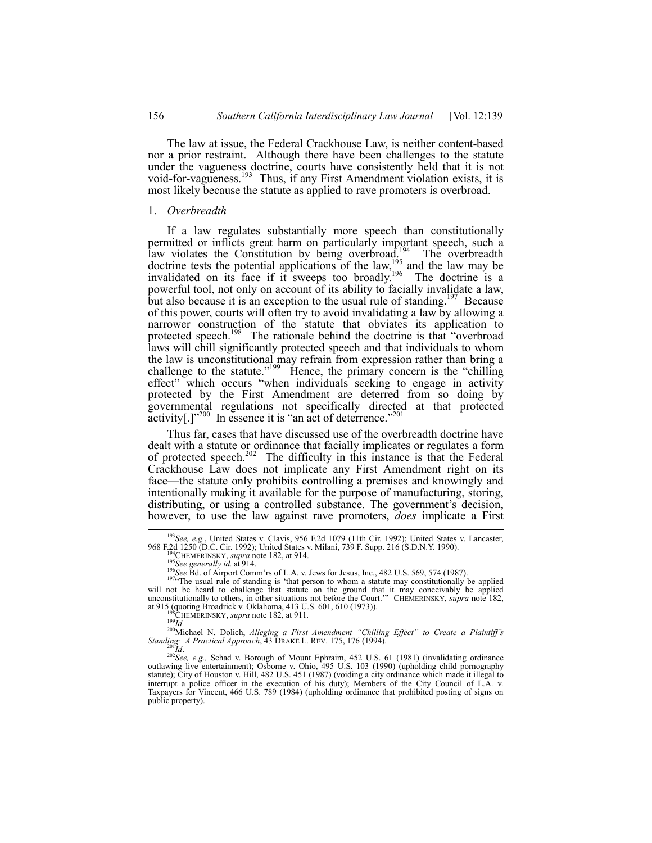The law at issue, the Federal Crackhouse Law, is neither content-based nor a prior restraint. Although there have been challenges to the statute under the vagueness doctrine, courts have consistently held that it is not void-for-vagueness.<sup>193</sup> Thus, if any First Amendment violation exists, it is most likely because the statute as applied to rave promoters is overbroad.

#### 1. *Overbreadth*

If a law regulates substantially more speech than constitutionally permitted or inflicts great harm on particularly important speech, such a law violates the Constitution by being overbroad.<sup>194</sup> The overbreadth doctrine tests the potential applications of the law,<sup>195</sup> and the law may be invalidated on its face if it sweeps too broadly.<sup>196</sup> The doctrine is a powerful tool, not only on account of its ability to facially invalidate a law, but also because it is an exception to the usual rule of standing.<sup>197</sup> Because of this power, courts will often try to avoid invalidating a law by allowing a narrower construction of the statute that obviates its application to protected speech.<sup>198</sup> The rationale behind the doctrine is that "overbroad laws will chill significantly protected speech and that individuals to whom the law is unconstitutional may refrain from expression rather than bring a challenge to the statute.<sup> $199$ </sup> Hence, the primary concern is the "chilling" effect" which occurs "when individuals seeking to engage in activity protected by the First Amendment are deterred from so doing by governmental regulations not specifically directed at that protected activity[.] $1^{200}$  In essence it is "an act of deterrence.<sup> $2$ 2</sup>

Thus far, cases that have discussed use of the overbreadth doctrine have dealt with a statute or ordinance that facially implicates or regulates a form of protected speech.<sup>202</sup> The difficulty in this instance is that the Federal Crackhouse Law does not implicate any First Amendment right on its face—the statute only prohibits controlling a premises and knowingly and intentionally making it available for the purpose of manufacturing, storing, distributing, or using a controlled substance. The government's decision, however, to use the law against rave promoters, *does* implicate a First

at 915 (quoting Broadrick v. Oklahoma, 413 U.S. 601, 610 (1973)).<br>
<sup>198</sup>CHEMERINSKY, *supra* note 182, at 911.<br>
<sup>199</sup>*Id.*<br>
<sup>200</sup>Michael N. Dolich, *Alleging a First Amendment "Chilling Effect" to Create a Plaintiff's*<br> *S* 

*Standing: A Practical Approach*, 43 DRAKE L. REV. 175, 176 (1994).<br><sup>201</sup>*Id.*<br><sup>202</sup>*See, e.g.*, Schad v. Borough of Mount Ephraim, 452 U.S. 61 (1981) (invalidating ordinance outlawing live entertainment); Osborne v. Ohio statute); City of Houston v. Hill, 482 U.S. 451 (1987) (voiding a city ordinance which made it illegal to interrupt a police officer in the execution of his duty); Members of the City Council of L.A. v. Taxpayers for Vincent, 466 U.S. 789 (1984) (upholding ordinance that prohibited posting of signs on public property).

<sup>&</sup>lt;sup>193</sup>*See, e.g.*, United States v. Clavis, 956 F.2d 1079 (11th Cir. 1992); United States v. Lancaster, 968 F.2d 1250 (D.C. Cir. 1992); United States v. Milani, 739 F. Supp. 216 (S.D.N.Y. 1990).

<sup>&</sup>lt;sup>194</sup>CHEMERINSKY, *supra* note 182, at 914.<br><sup>195</sup>See generally id. at 914.<br><sup>196</sup>See Bd. of Airport Comm'rs of L.A. v. Jews for Jesus, Inc., 482 U.S. 569, 574 (1987).<br><sup>1976</sup>The usual rule of standing is 'that person to who will not be heard to challenge that statute on the ground that it may conceivably be applied unconstitutionally to others, in other situations not before the Court.<sup>78</sup> CHEMERINSKY, *supra* note 182,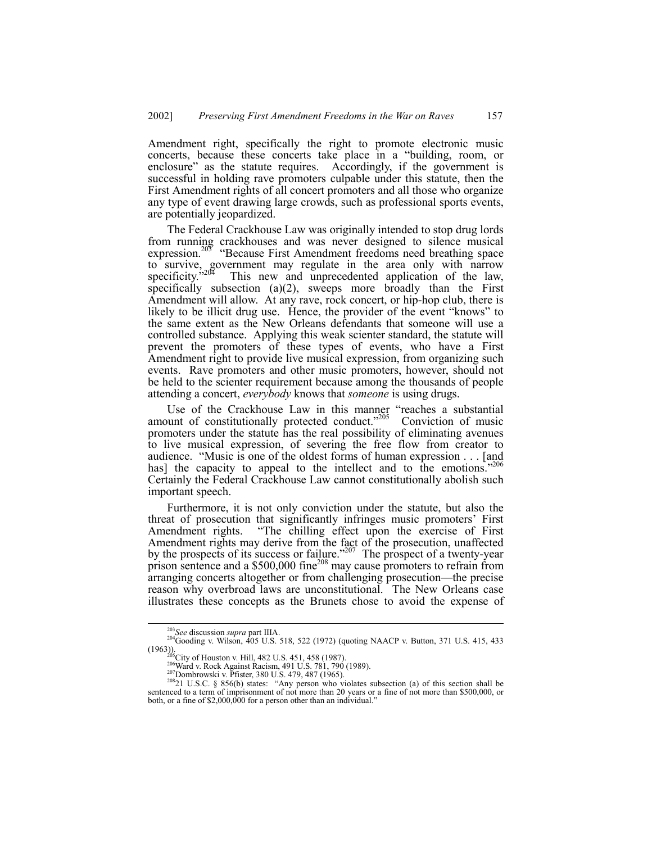Amendment right, specifically the right to promote electronic music concerts, because these concerts take place in a "building, room, or enclosure" as the statute requires. Accordingly, if the government is successful in holding rave promoters culpable under this statute, then the First Amendment rights of all concert promoters and all those who organize any type of event drawing large crowds, such as professional sports events, are potentially jeopardized.

The Federal Crackhouse Law was originally intended to stop drug lords from running crackhouses and was never designed to silence musical expression.<sup>203</sup> "Because First Amendment freedoms need breathing space to survive, government may regulate in the area only with narrow specificity. $204$  This new and unprecedented application of the law, specifically subsection (a)(2), sweeps more broadly than the First Amendment will allow. At any rave, rock concert, or hip-hop club, there is likely to be illicit drug use. Hence, the provider of the event "knows" to the same extent as the New Orleans defendants that someone will use a controlled substance. Applying this weak scienter standard, the statute will prevent the promoters of these types of events, who have a First Amendment right to provide live musical expression, from organizing such events. Rave promoters and other music promoters, however, should not be held to the scienter requirement because among the thousands of people attending a concert, *everybody* knows that *someone* is using drugs.

Use of the Crackhouse Law in this manner "reaches a substantial amount of constitutionally protected conduct.<sup>2205</sup> Conviction of music promoters under the statute has the real possibility of eliminating avenues to live musical expression, of severing the free flow from creator to audience. "Music is one of the oldest forms of human expression  $\dots$  [and has] the capacity to appeal to the intellect and to the emotions.<sup>7206</sup> Certainly the Federal Crackhouse Law cannot constitutionally abolish such important speech.

Furthermore, it is not only conviction under the statute, but also the threat of prosecution that significantly infringes music promotersí First Amendment rights. "The chilling effect upon the exercise of First Amendment rights may derive from the fact of the prosecution, unaffected by the prospects of its success or failure.<sup> $207$ </sup> The prospect of a twenty-year prison sentence and a \$500,000 fine<sup>208</sup> may cause promoters to refrain from arranging concerts altogether or from challenging prosecution—the precise reason why overbroad laws are unconstitutional. The New Orleans case illustrates these concepts as the Brunets chose to avoid the expense of

<sup>&</sup>lt;sup>203</sup>*See* discussion *supra* part IIIA.<br><sup>204</sup>Gooding v. Wilson, 405 U.S. 518, 522 (1972) (quoting NAACP v. Button, 371 U.S. 415, 433 (1963)).<br>
<sup>205</sup>City of Houston v. Hill, 482 U.S. 451, 458 (1987).<br>
<sup>205</sup>Ward v. Rock Against Racism, 491 U.S. 781, 790 (1989).<br>
<sup>207</sup>Dombrowski v. Pfister, 380 U.S. 479, 487 (1965).<br>
<sup>207</sup>Dombrowski v. Pfister, 380 U.S. 4

sentenced to a term of imprisonment of not more than 20 years or a fine of not more than \$500,000, or both, or a fine of \$2,000,000 for a person other than an individual.<sup>"</sup>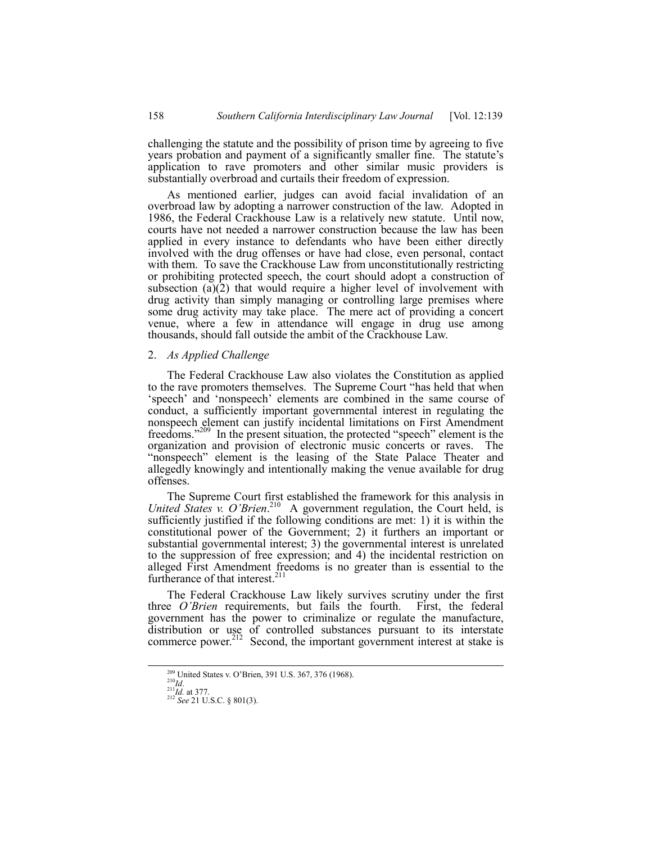challenging the statute and the possibility of prison time by agreeing to five years probation and payment of a significantly smaller fine. The statute's application to rave promoters and other similar music providers is substantially overbroad and curtails their freedom of expression.

As mentioned earlier, judges can avoid facial invalidation of an overbroad law by adopting a narrower construction of the law. Adopted in 1986, the Federal Crackhouse Law is a relatively new statute. Until now, courts have not needed a narrower construction because the law has been applied in every instance to defendants who have been either directly involved with the drug offenses or have had close, even personal, contact with them. To save the Crackhouse Law from unconstitutionally restricting or prohibiting protected speech, the court should adopt a construction of subsection  $(a)(2)$  that would require a higher level of involvement with drug activity than simply managing or controlling large premises where some drug activity may take place. The mere act of providing a concert venue, where a few in attendance will engage in drug use among thousands, should fall outside the ambit of the Crackhouse Law.

## 2. *As Applied Challenge*

The Federal Crackhouse Law also violates the Constitution as applied to the rave promoters themselves. The Supreme Court "has held that when 'speech' and 'nonspeech' elements are combined in the same course of conduct, a sufficiently important governmental interest in regulating the nonspeech element can justify incidental limitations on First Amendment freedoms.<sup>"209</sup> In the present situation, the protected "speech" element is the organization and provision of electronic music concerts or raves. The "nonspeech" element is the leasing of the State Palace Theater and allegedly knowingly and intentionally making the venue available for drug offenses.

The Supreme Court first established the framework for this analysis in United States v. O'Brien.<sup>210</sup> A government regulation, the Court held, is sufficiently justified if the following conditions are met: 1) it is within the constitutional power of the Government; 2) it furthers an important or substantial governmental interest; 3) the governmental interest is unrelated to the suppression of free expression; and 4) the incidental restriction on alleged First Amendment freedoms is no greater than is essential to the furtherance of that interest.<sup>211</sup>

The Federal Crackhouse Law likely survives scrutiny under the first three *OíBrien* requirements, but fails the fourth. First, the federal government has the power to criminalize or regulate the manufacture, distribution or use of controlled substances pursuant to its interstate commerce power.<sup>212</sup> Second, the important government interest at stake is

<sup>&</sup>lt;sup>209</sup> United States v. O'Brien, 391 U.S. 367, 376 (1968).<br><sup>211</sup>*Id.* at 377.<br><sup>212</sup> *See* 21 U.S.C. § 801(3).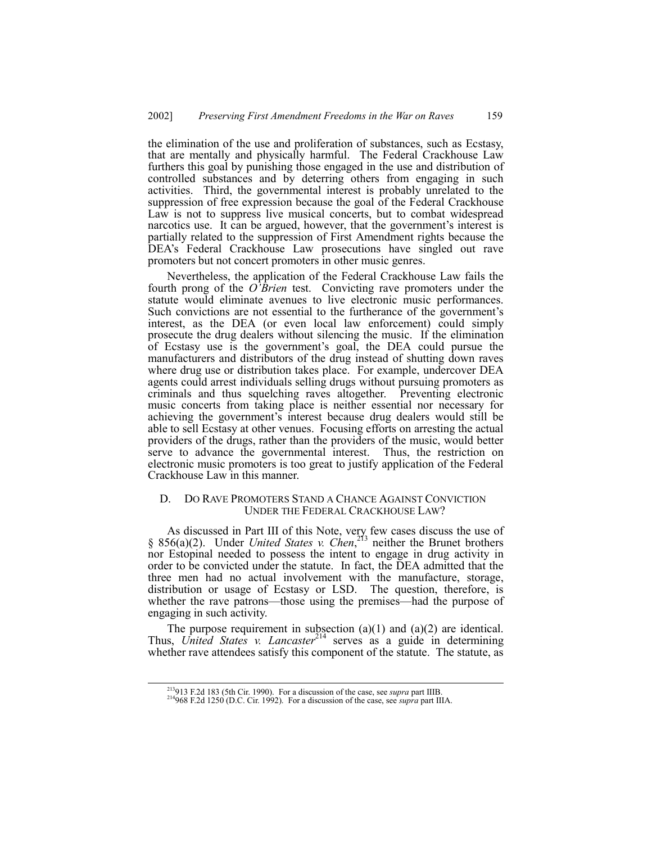the elimination of the use and proliferation of substances, such as Ecstasy, that are mentally and physically harmful. The Federal Crackhouse Law furthers this goal by punishing those engaged in the use and distribution of controlled substances and by deterring others from engaging in such activities. Third, the governmental interest is probably unrelated to the suppression of free expression because the goal of the Federal Crackhouse Law is not to suppress live musical concerts, but to combat widespread narcotics use. It can be argued, however, that the government's interest is partially related to the suppression of First Amendment rights because the DEA's Federal Crackhouse Law prosecutions have singled out rave promoters but not concert promoters in other music genres.

Nevertheless, the application of the Federal Crackhouse Law fails the fourth prong of the  $O<sup>T</sup>$ *Brien* test. Convicting rave promoters under the statute would eliminate avenues to live electronic music performances. Such convictions are not essential to the furtherance of the government's interest, as the DEA (or even local law enforcement) could simply prosecute the drug dealers without silencing the music. If the elimination of Ecstasy use is the government's goal, the DEA could pursue the manufacturers and distributors of the drug instead of shutting down raves where drug use or distribution takes place. For example, undercover DEA agents could arrest individuals selling drugs without pursuing promoters as criminals and thus squelching raves altogether. Preventing electronic music concerts from taking place is neither essential nor necessary for achieving the government's interest because drug dealers would still be able to sell Ecstasy at other venues. Focusing efforts on arresting the actual providers of the drugs, rather than the providers of the music, would better serve to advance the governmental interest. Thus, the restriction on electronic music promoters is too great to justify application of the Federal Crackhouse Law in this manner.

## D. DO RAVE PROMOTERS STAND A CHANCE AGAINST CONVICTION UNDER THE FEDERAL CRACKHOUSE LAW?

As discussed in Part III of this Note, very few cases discuss the use of ß 856(a)(2). Under *United States v. Chen*, 213 neither the Brunet brothers nor Estopinal needed to possess the intent to engage in drug activity in order to be convicted under the statute. In fact, the DEA admitted that the three men had no actual involvement with the manufacture, storage, distribution or usage of Ecstasy or LSD. The question, therefore, is whether the rave patrons—those using the premises—had the purpose of engaging in such activity.

The purpose requirement in subsection  $(a)(1)$  and  $(a)(2)$  are identical. Thus, *United States v. Lancaster*<sup>214</sup> serves as a guide in determining whether rave attendees satisfy this component of the statute. The statute, as

 <sup>213913</sup> F.2d 183 (5th Cir. 1990). For a discussion of the case, see *supra* part IIIB. 214968 F.2d 1250 (D.C. Cir. 1992). For a discussion of the case, see *supra* part IIIA.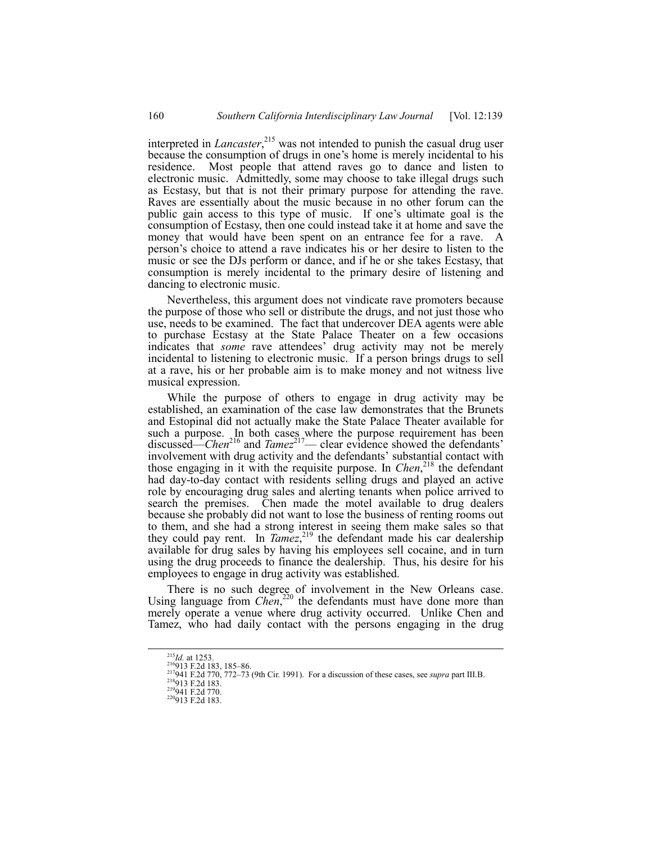interpreted in *Lancaster*, 215 was not intended to punish the casual drug user because the consumption of drugs in one's home is merely incidental to his residence. Most people that attend raves go to dance and listen to electronic music. Admittedly, some may choose to take illegal drugs such as Ecstasy, but that is not their primary purpose for attending the rave. Raves are essentially about the music because in no other forum can the public gain access to this type of music. If one's ultimate goal is the consumption of Ecstasy, then one could instead take it at home and save the money that would have been spent on an entrance fee for a rave. A personís choice to attend a rave indicates his or her desire to listen to the music or see the DJs perform or dance, and if he or she takes Ecstasy, that consumption is merely incidental to the primary desire of listening and dancing to electronic music.

Nevertheless, this argument does not vindicate rave promoters because the purpose of those who sell or distribute the drugs, and not just those who use, needs to be examined. The fact that undercover DEA agents were able to purchase Ecstasy at the State Palace Theater on a few occasions indicates that *some* rave attendees' drug activity may not be merely incidental to listening to electronic music. If a person brings drugs to sell at a rave, his or her probable aim is to make money and not witness live musical expression.

While the purpose of others to engage in drug activity may be established, an examination of the case law demonstrates that the Brunets and Estopinal did not actually make the State Palace Theater available for such a purpose. In both cases where the purpose requirement has been discussed—*Chen*<sup>216</sup> and *Tamez*<sup>217</sup>— clear evidence showed the defendants<sup>7</sup> involvement with drug activity and the defendants' substantial contact with those engaging in it with the requisite purpose. In *Chen*, 218 the defendant had day-to-day contact with residents selling drugs and played an active role by encouraging drug sales and alerting tenants when police arrived to search the premises. Chen made the motel available to drug dealers because she probably did not want to lose the business of renting rooms out to them, and she had a strong interest in seeing them make sales so that they could pay rent. In *Tamez*, 219 the defendant made his car dealership available for drug sales by having his employees sell cocaine, and in turn using the drug proceeds to finance the dealership. Thus, his desire for his employees to engage in drug activity was established.

There is no such degree of involvement in the New Orleans case. Using language from *Chen*,<sup>220</sup> the defendants must have done more than merely operate a venue where drug activity occurred. Unlike Chen and Tamez, who had daily contact with the persons engaging in the drug

<sup>&</sup>lt;sup>215</sup>*Id.* at 1253.<br><sup>216</sup>913 F.2d 183, 185–86.<br><sup>217</sup>941 F.2d 770, 772–73 (9th Cir. 1991). For a discussion of these cases, see *supra* part III.B.<br><sup>218</sup>913 F.2d 183.<br><sup>219</sup>913 F.2d 183.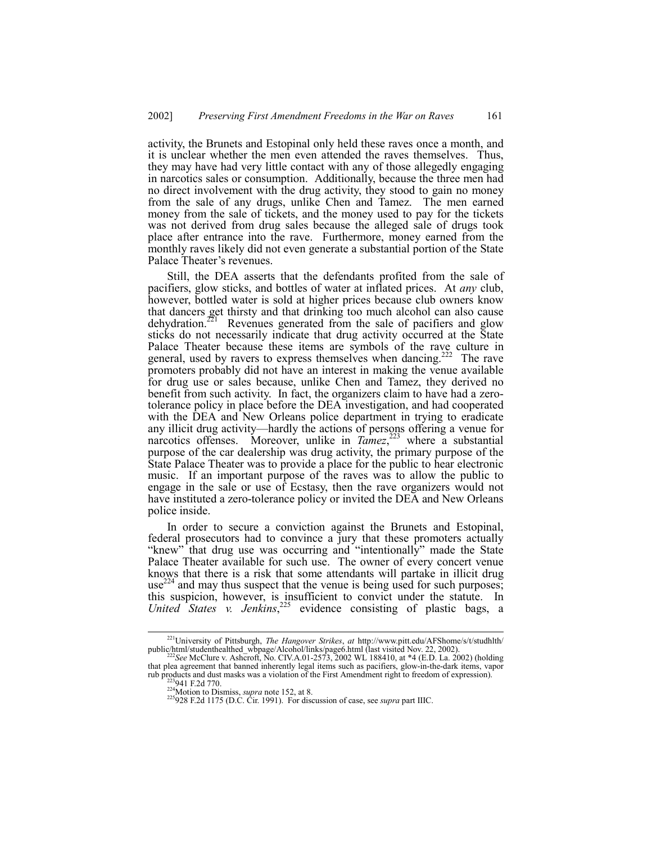activity, the Brunets and Estopinal only held these raves once a month, and it is unclear whether the men even attended the raves themselves. Thus, they may have had very little contact with any of those allegedly engaging in narcotics sales or consumption. Additionally, because the three men had no direct involvement with the drug activity, they stood to gain no money from the sale of any drugs, unlike Chen and Tamez. The men earned money from the sale of tickets, and the money used to pay for the tickets was not derived from drug sales because the alleged sale of drugs took place after entrance into the rave. Furthermore, money earned from the monthly raves likely did not even generate a substantial portion of the State Palace Theater's revenues.

Still, the DEA asserts that the defendants profited from the sale of pacifiers, glow sticks, and bottles of water at inflated prices. At *any* club, however, bottled water is sold at higher prices because club owners know that dancers get thirsty and that drinking too much alcohol can also cause dehydration.<sup>221</sup> Revenues generated from the sale of pacifiers and glow sticks do not necessarily indicate that drug activity occurred at the State Palace Theater because these items are symbols of the rave culture in general, used by ravers to express themselves when dancing.<sup>222</sup> The rave promoters probably did not have an interest in making the venue available for drug use or sales because, unlike Chen and Tamez, they derived no benefit from such activity. In fact, the organizers claim to have had a zerotolerance policy in place before the DEA investigation, and had cooperated with the DEA and New Orleans police department in trying to eradicate any illicit drug activity—hardly the actions of persons offering a venue for narcotics offenses. Moreover, unlike in *Tamez*,<sup>223</sup> where a substantial purpose of the car dealership was drug activity, the primary purpose of the State Palace Theater was to provide a place for the public to hear electronic music. If an important purpose of the raves was to allow the public to engage in the sale or use of Ecstasy, then the rave organizers would not have instituted a zero-tolerance policy or invited the DEA and New Orleans police inside.

In order to secure a conviction against the Brunets and Estopinal, federal prosecutors had to convince a jury that these promoters actually "knew" that drug use was occurring and "intentionally" made the State Palace Theater available for such use. The owner of every concert venue knows that there is a risk that some attendants will partake in illicit drug  $use^{224}$  and may thus suspect that the venue is being used for such purposes; this suspicion, however, is insufficient to convict under the statute. In *United States v. Jenkins*, 225 evidence consisting of plastic bags, a

 <sup>221</sup>University of Pittsburgh, *The Hangover Strikes*, *at* http://www.pitt.edu/AFShome/s/t/studhlth/ public/html/studenthealthed\_wbpage/Alcohol/links/page6.html (last visited Nov. 22, 2002). <sup>222</sup>*See* McClure v. Ashcroft, No. CIV.A.01-2573, 2002 WL 188410, at \*4 (E.D. La. 2002) (holding

that plea agreement that banned inherently legal items such as pacifiers, glow-in-the-dark items, vapor rub products and dust masks was a violation of the First Amendment right to freedom of expression).<br>
<sup>223</sup>941 F.2d 770.<br>
<sup>224</sup>Motion to Dismiss, *supra* note 152, at 8.<br>
<sup>225</sup>928 F.2d 1175 (D.C. Cir. 1991). For discussion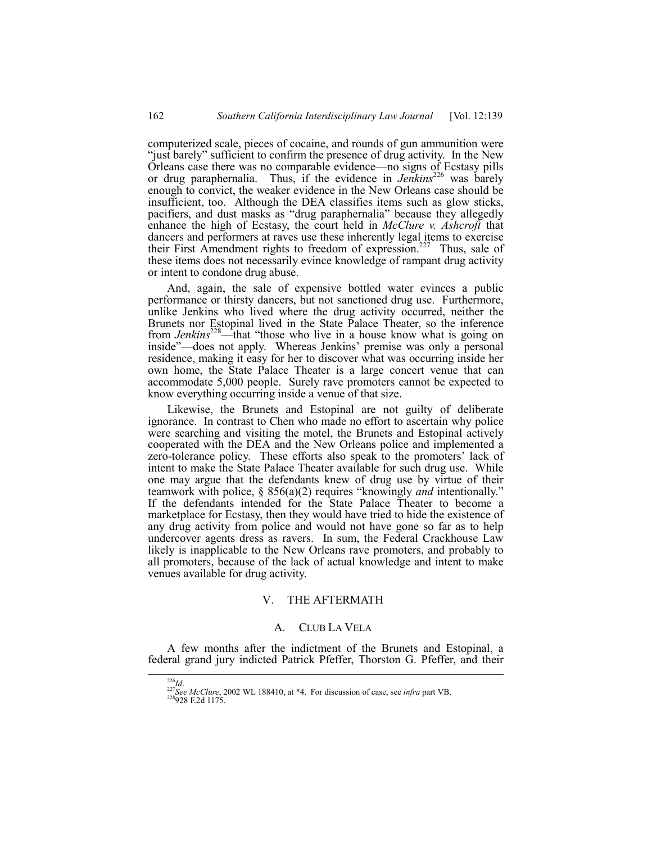computerized scale, pieces of cocaine, and rounds of gun ammunition were "just barely" sufficient to confirm the presence of drug activity. In the New Orleans case there was no comparable evidence—no signs of Ecstasy pills or drug paraphernalia. Thus, if the evidence in *Jenkins*<sup>226</sup> was barely enough to convict, the weaker evidence in the New Orleans case should be insufficient, too. Although the DEA classifies items such as glow sticks, pacifiers, and dust masks as "drug paraphernalia" because they allegedly enhance the high of Ecstasy, the court held in *McClure v. Ashcroft* that dancers and performers at raves use these inherently legal items to exercise their First Amendment rights to freedom of expression.<sup>227</sup> Thus, sale of these items does not necessarily evince knowledge of rampant drug activity or intent to condone drug abuse.

And, again, the sale of expensive bottled water evinces a public performance or thirsty dancers, but not sanctioned drug use. Furthermore, unlike Jenkins who lived where the drug activity occurred, neither the Brunets nor Estopinal lived in the State Palace Theater, so the inference from *Jenkins*<sup>228</sup>—that "those who live in a house know what is going on inside"—does not apply. Whereas Jenkins' premise was only a personal residence, making it easy for her to discover what was occurring inside her own home, the State Palace Theater is a large concert venue that can accommodate 5,000 people. Surely rave promoters cannot be expected to know everything occurring inside a venue of that size.

Likewise, the Brunets and Estopinal are not guilty of deliberate ignorance. In contrast to Chen who made no effort to ascertain why police were searching and visiting the motel, the Brunets and Estopinal actively cooperated with the DEA and the New Orleans police and implemented a zero-tolerance policy. These efforts also speak to the promoters' lack of intent to make the State Palace Theater available for such drug use. While one may argue that the defendants knew of drug use by virtue of their teamwork with police, § 856(a)(2) requires "knowingly *and* intentionally." If the defendants intended for the State Palace Theater to become a marketplace for Ecstasy, then they would have tried to hide the existence of any drug activity from police and would not have gone so far as to help undercover agents dress as ravers. In sum, the Federal Crackhouse Law likely is inapplicable to the New Orleans rave promoters, and probably to all promoters, because of the lack of actual knowledge and intent to make venues available for drug activity.

# V. THE AFTERMATH

# A. CLUB LA VELA

A few months after the indictment of the Brunets and Estopinal, a federal grand jury indicted Patrick Pfeffer, Thorston G. Pfeffer, and their

<sup>226</sup>*Id*. <sup>227</sup>*See McClure*, 2002 WL 188410, at \*4. For discussion of case, see *infra* part VB. 228928 F.2d 1175.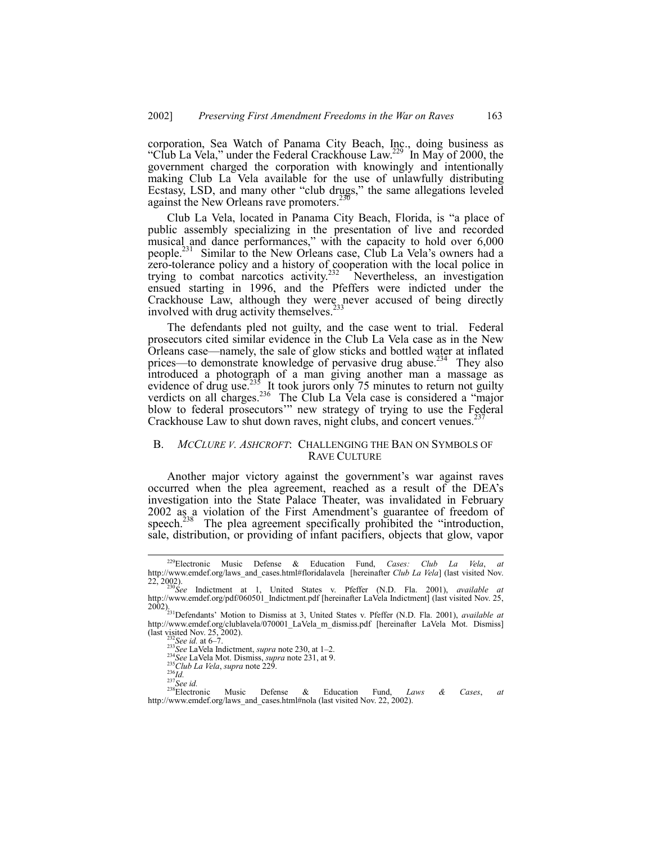corporation, Sea Watch of Panama City Beach, Inc., doing business as "Club La Vela," under the Federal Crackhouse Law.<sup>229</sup> In May of 2000, the government charged the corporation with knowingly and intentionally making Club La Vela available for the use of unlawfully distributing Ecstasy, LSD, and many other "club drugs," the same allegations leveled against the New Orleans rave promoters.<sup>230</sup>

Club La Vela, located in Panama City Beach, Florida, is "a place of public assembly specializing in the presentation of live and recorded musical and dance performances," with the capacity to hold over 6,000 people.<sup>231</sup> Similar to the New Orleans case, Club La Vela's owners had a zero-tolerance policy and a history of cooperation with the local police in trying to combat narcotics activity.<sup>232</sup> Nevertheless, an investigation ensued starting in 1996, and the Pfeffers were indicted under the Crackhouse Law, although they were never accused of being directly<br>involved with drug optivity themselves  $^{233}$ involved with drug activity themselves.<sup>2</sup>

The defendants pled not guilty, and the case went to trial. Federal prosecutors cited similar evidence in the Club La Vela case as in the New Orleans case—namely, the sale of glow sticks and bottled water at inflated prices—to demonstrate knowledge of pervasive drug abuse.<sup>234</sup> They also introduced a photograph of a man giving another man a massage as evidence of drug use.<sup>235</sup> It took jurors only 75 minutes to return not guilty verdicts on all charges. $236$  The Club La Vela case is considered a "major blow to federal prosecutors" new strategy of trying to use the Federal Crackhouse Law to shut down raves, night clubs, and concert venues.<sup>2</sup>

## B. *MCCLURE V. ASHCROFT*: CHALLENGING THE BAN ON SYMBOLS OF RAVE CULTURE

Another major victory against the government's war against raves occurred when the plea agreement, reached as a result of the DEAís investigation into the State Palace Theater, was invalidated in February 2002 as a violation of the First Amendment's guarantee of freedom of speech. $^{238}$  The plea agreement specifically prohibited the "introduction, sale, distribution, or providing of infant pacifiers, objects that glow, vapor

 <sup>229</sup>Electronic Music Defense & Education Fund, *Cases: Club La Vela*, *at* http://www.emdef.org/laws\_and\_cases.html#floridalavela [hereinafter *Club La Vela*] (last visited Nov.<br>22, 2002).<br><sup>230</sup>See Indictment at 1, United States v. Pfeffer (N.D. Fla. 2001), *available at* 

<sup>22, 2002).</sup> <sup>230</sup>*See* Indictment at 1, United States v. Pfeffer (N.D. Fla. 2001), *available at* http://www.emdef.org/pdf/060501\_Indictment.pdf [hereinafter LaVela Indictment] (last visited Nov. 25, 2002).231Defendantsí Motion to Dismiss at 3, United States v. Pfeffer (N.D. Fla. 2001), *available at*

http://www.emdef.org/clublavela/070001\_LaVela\_m\_dismiss.pdf [hereinafter LaVela Mot. Dismiss] (last visited Nov. 25, 2002).<br>
<sup>232</sup>See id. at 6-7.<br>
<sup>233</sup>See LaVela Indictment, *supra* note 230, at 1-2.<br>
<sup>233</sup>See LaVela Mot. Dismiss, *supra* note 231, at 9.<br>
<sup>235</sup>Club La Vela, *supra* note 229.<br>
<sup>236</sup>Club La Vela,

http://www.emdef.org/laws\_and\_cases.html#nola (last visited Nov. 22, 2002).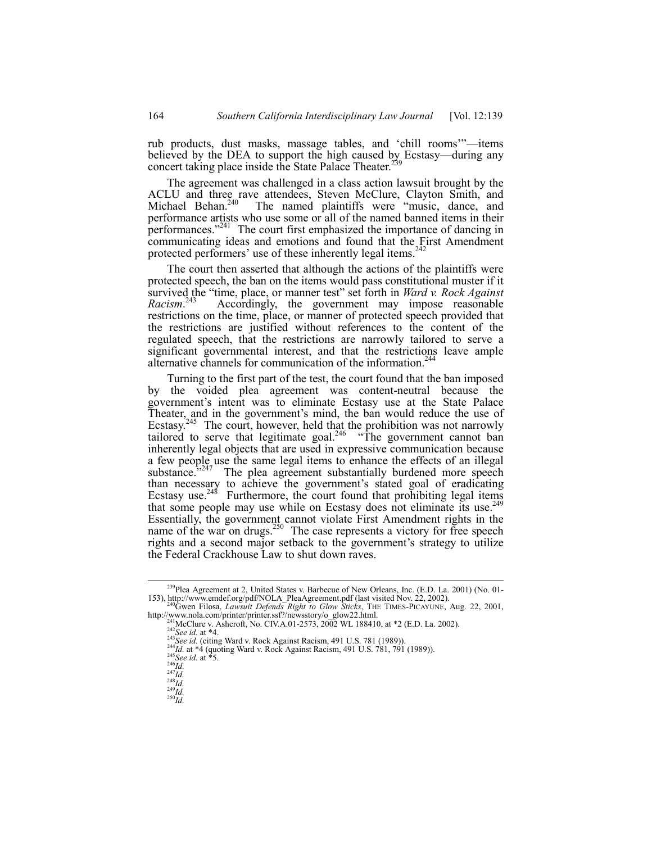rub products, dust masks, massage tables, and 'chill rooms'"—items believed by the DEA to support the high caused by Ecstasy—during any concert taking place inside the State Palace Theater.<sup>25</sup>

The agreement was challenged in a class action lawsuit brought by the ACLU and three rave attendees, Steven McClure, Clayton Smith, and Michael Behan.<sup>240</sup> The named plaintiffs were "music, dance, and performance artists who use some or all of the named banned items in their performances. $2^{241}$  The court first emphasized the importance of dancing in communicating ideas and emotions and found that the First Amendment protected performers' use of these inherently legal items. $242$ 

The court then asserted that although the actions of the plaintiffs were protected speech, the ban on the items would pass constitutional muster if it survived the "time, place, or manner test" set forth in *Ward v. Rock Against Racism*. Accordingly, the government may impose reasonable restrictions on the time, place, or manner of protected speech provided that the restrictions are justified without references to the content of the regulated speech, that the restrictions are narrowly tailored to serve a significant governmental interest, and that the restrictions leave ample alternative channels for communication of the information.<sup>24</sup>

Turning to the first part of the test, the court found that the ban imposed by the voided plea agreement was content-neutral because the government's intent was to eliminate Ecstasy use at the State Palace Theater, and in the government's mind, the ban would reduce the use of Ecstasy.<sup>245</sup> The court, however, held that the prohibition was not narrowly tailored to serve that legitimate goal.<sup>246</sup>  $\cdot$ The government cannot ban inherently legal objects that are used in expressive communication because a few people use the same legal items to enhance the effects of an illegal substance. $\frac{3247}{100}$  The plea agreement substantially burdened more speech than necessary to achieve the government's stated goal of eradicating Ecstasy use.<sup>248</sup> Furthermore, the court found that prohibiting legal items that some people may use while on Ecstasy does not eliminate its use.<sup>24</sup> Essentially, the government cannot violate First Amendment rights in the name of the war on drugs.<sup>250</sup> The case represents a victory for free speech rights and a second major setback to the government's strategy to utilize the Federal Crackhouse Law to shut down raves.

<sup>&</sup>lt;sup>239</sup>Plea Agreement at 2, United States v. Barbecue of New Orleans, Inc. (E.D. La. 2001) (No. 01-153), http://www.emdef.org/pdf/NOLA\_PleaAgreement.pdf (last visited Nov. 22, 2002).

<sup>&</sup>lt;sup>0</sup>Gwen Filosa, *Lawsuit Defends Right to Glow Sticks*, THE TIMES-PICAYUNE, Aug. 22, 2001, From Filosa, *Lawsuit Defends Right to Glow Sticks*, THE TIMES-PICAYUNE, Au,<br>
http://www.nola.com/printer/printer.ssf?/newsstory/o\_glow22.html.<br>
<sup>241</sup>McClure v. Ashcroft, No. CIV.A.01-2573, 2002 WL 188410, at \*2 (E.D. La.